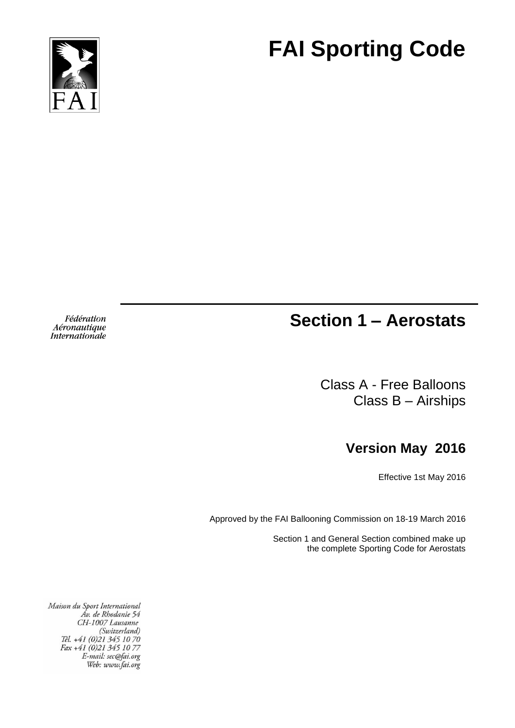

# **FAI Sporting Code**

Fédération Aéronautique Internationale

## **Section 1 – Aerostats**

Class A - Free Balloons Class B – Airships

## **Version May 2016**

Effective 1st May 2016

Approved by the FAI Ballooning Commission on 18-19 March 2016

Section 1 and General Section combined make up the complete Sporting Code for Aerostats

Maison du Sport International Áv. de Rhodanie 54 CH-1007 Lausanne  $(Switzerland)$ <br>Tél. +41 (0)21 345 10 70 Fax +41 (0)21 345 10 77 E-mail: sec@fai.org Web: www.fai.org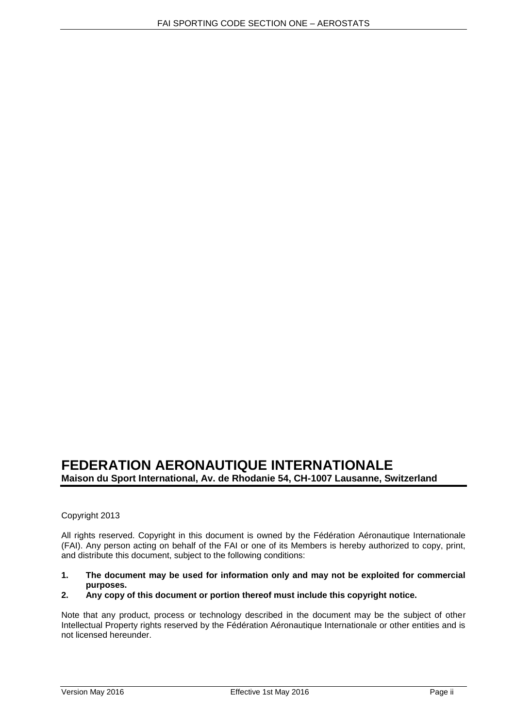## **FEDERATION AERONAUTIQUE INTERNATIONALE Maison du Sport International, Av. de Rhodanie 54, CH-1007 Lausanne, Switzerland**

#### Copyright 2013

All rights reserved. Copyright in this document is owned by the Fédération Aéronautique Internationale (FAI). Any person acting on behalf of the FAI or one of its Members is hereby authorized to copy, print, and distribute this document, subject to the following conditions:

#### **1. The document may be used for information only and may not be exploited for commercial purposes.**

**2. Any copy of this document or portion thereof must include this copyright notice.**

Note that any product, process or technology described in the document may be the subject of other Intellectual Property rights reserved by the Fédération Aéronautique Internationale or other entities and is not licensed hereunder.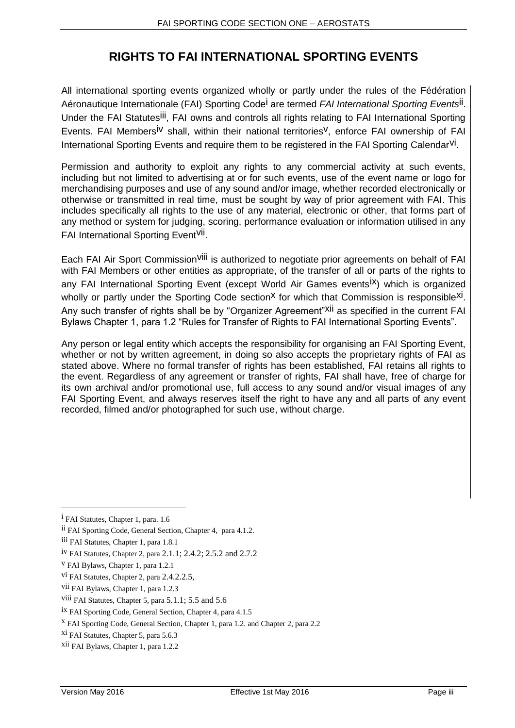## **RIGHTS TO FAI INTERNATIONAL SPORTING EVENTS**

All international sporting events organized wholly or partly under the rules of the Fédération Aéronautique Internationale (FAI) Sporting Codei are termed *FAI International Sporting Events*ii . Under the FAI Statutes<sup>iii</sup>, FAI owns and controls all rights relating to FAI International Sporting Events. FAI Members<sup>iv</sup> shall, within their national territories<sup>v</sup>, enforce FAI ownership of FAI International Sporting Events and require them to be registered in the FAI Sporting Calendar<sup>vi</sup>.

Permission and authority to exploit any rights to any commercial activity at such events, including but not limited to advertising at or for such events, use of the event name or logo for merchandising purposes and use of any sound and/or image, whether recorded electronically or otherwise or transmitted in real time, must be sought by way of prior agreement with FAI. This includes specifically all rights to the use of any material, electronic or other, that forms part of any method or system for judging, scoring, performance evaluation or information utilised in any FAI International Sporting Event<sup>vii</sup>.

Each FAI Air Sport Commission vill is authorized to negotiate prior agreements on behalf of FAI with FAI Members or other entities as appropriate, of the transfer of all or parts of the rights to any FAI International Sporting Event (except World Air Games eventsix) which is organized wholly or partly under the Sporting Code section<sup>x</sup> for which that Commission is responsible<sup>xi</sup>. Any such transfer of rights shall be by "Organizer Agreement"<sup>Xii</sup> as specified in the current FAI Bylaws Chapter 1, para 1.2 "Rules for Transfer of Rights to FAI International Sporting Events".

Any person or legal entity which accepts the responsibility for organising an FAI Sporting Event, whether or not by written agreement, in doing so also accepts the proprietary rights of FAI as stated above. Where no formal transfer of rights has been established, FAI retains all rights to the event. Regardless of any agreement or transfer of rights, FAI shall have, free of charge for its own archival and/or promotional use, full access to any sound and/or visual images of any FAI Sporting Event, and always reserves itself the right to have any and all parts of any event recorded, filmed and/or photographed for such use, without charge.

 $\overline{a}$ 

i FAI Statutes, Chapter 1, para. 1.6

ii FAI Sporting Code, General Section, Chapter 4, para 4.1.2.

iii FAI Statutes, Chapter 1, para 1.8.1

iv FAI Statutes, Chapter 2, para 2.1.1; 2.4.2; 2.5.2 and 2.7.2

v FAI Bylaws, Chapter 1, para 1.2.1

vi FAI Statutes, Chapter 2, para 2.4.2.2.5,

vii FAI Bylaws, Chapter 1, para 1.2.3

viii FAI Statutes, Chapter 5, para 5.1.1; 5.5 and 5.6

ix FAI Sporting Code, General Section, Chapter 4, para 4.1.5

x FAI Sporting Code, General Section, Chapter 1, para 1.2. and Chapter 2, para 2.2

xi FAI Statutes, Chapter 5, para 5.6.3

xii FAI Bylaws, Chapter 1, para 1.2.2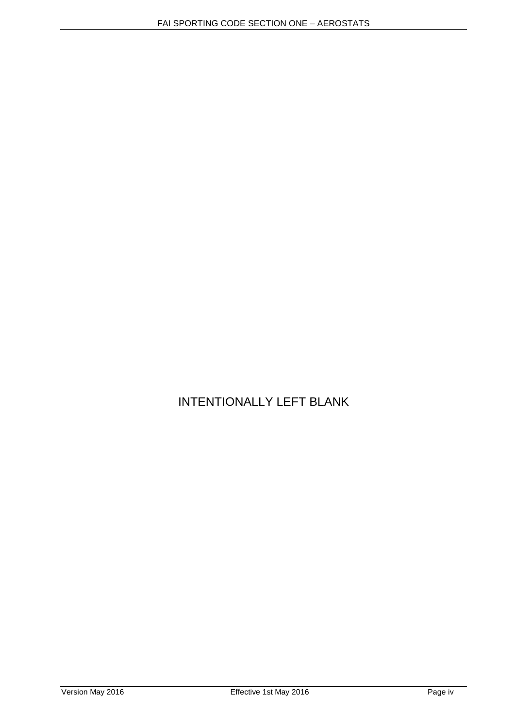## INTENTIONALLY LEFT BLANK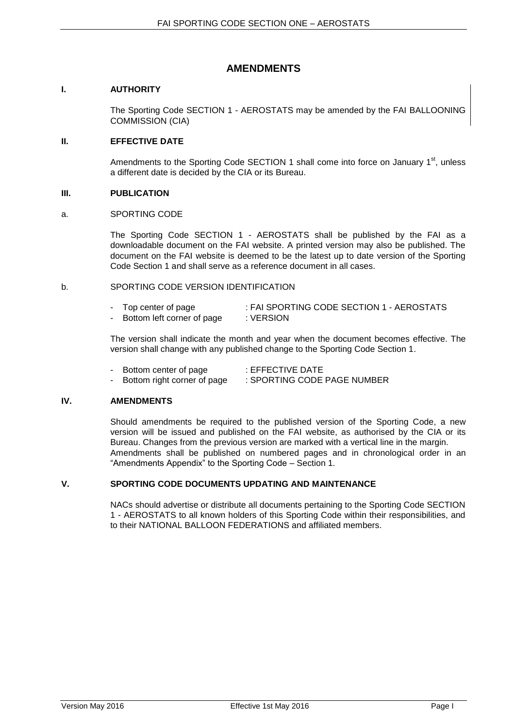## **AMENDMENTS**

#### **I. AUTHORITY**

The Sporting Code SECTION 1 - AEROSTATS may be amended by the FAI BALLOONING COMMISSION (CIA)

#### **II. EFFECTIVE DATE**

Amendments to the Sporting Code SECTION 1 shall come into force on January  $1<sup>st</sup>$ , unless a different date is decided by the CIA or its Bureau.

#### **III. PUBLICATION**

#### a. SPORTING CODE

The Sporting Code SECTION 1 - AEROSTATS shall be published by the FAI as a downloadable document on the FAI website. A printed version may also be published. The document on the FAI website is deemed to be the latest up to date version of the Sporting Code Section 1 and shall serve as a reference document in all cases.

#### b. SPORTING CODE VERSION IDENTIFICATION

| - Top center of page         | : FAI SPORTING CODE SECTION 1 - AEROSTATS |
|------------------------------|-------------------------------------------|
| - Bottom left corner of page | : VERSION                                 |

The version shall indicate the month and year when the document becomes effective. The version shall change with any published change to the Sporting Code Section 1.

- Bottom center of page : EFFECTIVE DATE
	- Bottom right corner of page : SPORTING CODE PAGE NUMBER

#### **IV. AMENDMENTS**

Should amendments be required to the published version of the Sporting Code, a new version will be issued and published on the FAI website, as authorised by the CIA or its Bureau. Changes from the previous version are marked with a vertical line in the margin. Amendments shall be published on numbered pages and in chronological order in an "Amendments Appendix" to the Sporting Code – Section 1.

#### **V. SPORTING CODE DOCUMENTS UPDATING AND MAINTENANCE**

NACs should advertise or distribute all documents pertaining to the Sporting Code SECTION 1 - AEROSTATS to all known holders of this Sporting Code within their responsibilities, and to their NATIONAL BALLOON FEDERATIONS and affiliated members.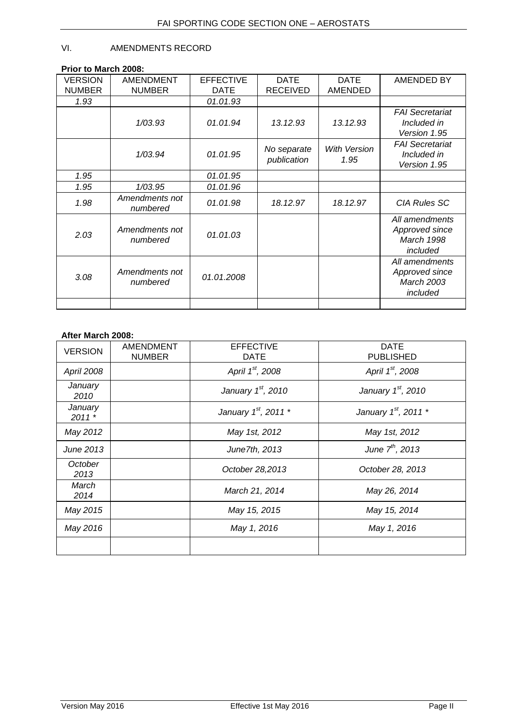## VI. AMENDMENTS RECORD

#### **Prior to March 2008:**

| <b>VERSION</b> | AMENDMENT                  | <b>EFFECTIVE</b> | <b>DATE</b>                | <b>DATE</b>                 | AMENDED BY                                                        |
|----------------|----------------------------|------------------|----------------------------|-----------------------------|-------------------------------------------------------------------|
| <b>NUMBER</b>  | <b>NUMBER</b>              | <b>DATE</b>      | <b>RECEIVED</b>            | <b>AMENDED</b>              |                                                                   |
| 1.93           |                            | 01.01.93         |                            |                             |                                                                   |
|                | 1/03.93                    | 01.01.94         | 13.12.93                   | 13.12.93                    | <b>FAI Secretariat</b><br>Included in<br>Version 1.95             |
|                | 1/03.94                    | 01.01.95         | No separate<br>publication | <b>With Version</b><br>1.95 | <b>FAI Secretariat</b><br>Included in<br>Version 1.95             |
| 1.95           |                            | 01.01.95         |                            |                             |                                                                   |
| 1.95           | 1/03.95                    | 01.01.96         |                            |                             |                                                                   |
| 1.98           | Amendments not<br>numbered | 01.01.98         | 18.12.97                   | 18.12.97                    | CIA Rules SC                                                      |
| 2.03           | Amendments not<br>numbered | 01.01.03         |                            |                             | All amendments<br>Approved since<br>March 1998<br>included        |
| 3.08           | Amendments not<br>numbered | 01.01.2008       |                            |                             | All amendments<br>Approved since<br><b>March 2003</b><br>included |
|                |                            |                  |                            |                             |                                                                   |

#### **After March 2008:**

| <b>VERSION</b>      | <b>AMENDMENT</b><br><b>NUMBER</b> | <b>EFFECTIVE</b><br><b>DATE</b> | <b>DATE</b><br><b>PUBLISHED</b> |
|---------------------|-----------------------------------|---------------------------------|---------------------------------|
| <b>April 2008</b>   |                                   | April 1st, 2008                 | April 1st, 2008                 |
| January<br>2010     |                                   | January $1st$ , 2010            | January $1st$ , 2010            |
| January<br>$2011 *$ |                                   | January $1^{st}$ , 2011 *       | January $1^{st}$ , 2011 *       |
| May 2012            |                                   | May 1st, 2012                   | May 1st, 2012                   |
| June 2013           |                                   | June7th, 2013                   | June $7^{th}$ , 2013            |
| October<br>2013     |                                   | October 28,2013                 | October 28, 2013                |
| March<br>2014       |                                   | March 21, 2014                  | May 26, 2014                    |
| May 2015            |                                   | May 15, 2015                    | May 15, 2014                    |
| May 2016            |                                   | May 1, 2016                     | May 1, 2016                     |
|                     |                                   |                                 |                                 |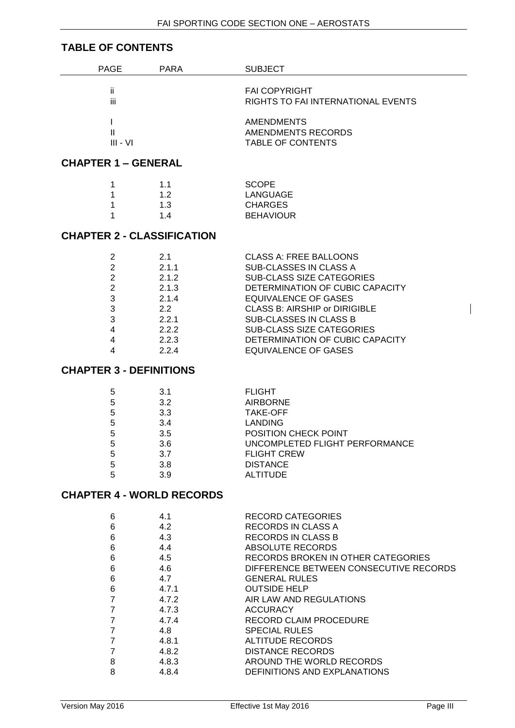## **TABLE OF CONTENTS**

| <b>TABLE OF CONTENTS</b>                                                              |                                                                                    |                                                                                                                                                                                                                                                                                                                                       |  |  |
|---------------------------------------------------------------------------------------|------------------------------------------------------------------------------------|---------------------------------------------------------------------------------------------------------------------------------------------------------------------------------------------------------------------------------------------------------------------------------------------------------------------------------------|--|--|
| <b>PAGE</b>                                                                           | <b>PARA</b>                                                                        | <b>SUBJECT</b>                                                                                                                                                                                                                                                                                                                        |  |  |
| ij.<br>iij                                                                            |                                                                                    | <b>FAI COPYRIGHT</b><br>RIGHTS TO FAI INTERNATIONAL EVENTS                                                                                                                                                                                                                                                                            |  |  |
| L<br>$\mathbf{II}$<br>$III - VI$                                                      |                                                                                    | <b>AMENDMENTS</b><br><b>AMENDMENTS RECORDS</b><br>TABLE OF CONTENTS                                                                                                                                                                                                                                                                   |  |  |
| <b>CHAPTER 1 - GENERAL</b>                                                            |                                                                                    |                                                                                                                                                                                                                                                                                                                                       |  |  |
| 1<br>1<br>1<br>1                                                                      | 1.1<br>1.2<br>1.3<br>1.4                                                           | <b>SCOPE</b><br>LANGUAGE<br><b>CHARGES</b><br><b>BEHAVIOUR</b>                                                                                                                                                                                                                                                                        |  |  |
| <b>CHAPTER 2 - CLASSIFICATION</b>                                                     |                                                                                    |                                                                                                                                                                                                                                                                                                                                       |  |  |
| 2<br>$\overline{2}$<br>$\overline{2}$<br>$\overline{c}$<br>3<br>3<br>3<br>4<br>4<br>4 | 2.1<br>2.1.1<br>2.1.2<br>2.1.3<br>2.1.4<br>2.2<br>2.2.1<br>2.2.2<br>2.2.3<br>2.2.4 | <b>CLASS A: FREE BALLOONS</b><br>SUB-CLASSES IN CLASS A<br><b>SUB-CLASS SIZE CATEGORIES</b><br>DETERMINATION OF CUBIC CAPACITY<br><b>EQUIVALENCE OF GASES</b><br><b>CLASS B: AIRSHIP or DIRIGIBLE</b><br>SUB-CLASSES IN CLASS B<br><b>SUB-CLASS SIZE CATEGORIES</b><br>DETERMINATION OF CUBIC CAPACITY<br><b>EQUIVALENCE OF GASES</b> |  |  |
| <b>CHAPTER 3 - DEFINITIONS</b>                                                        |                                                                                    |                                                                                                                                                                                                                                                                                                                                       |  |  |
| 5<br>5<br>5<br>5<br>5<br>5<br>5<br>5<br>5                                             | 3.1<br>3.2<br>3.3<br>3.4<br>3.5<br>3.6<br>3.7<br>3.8<br>3.9                        | <b>FLIGHT</b><br><b>AIRBORNE</b><br><b>TAKE-OFF</b><br><b>LANDING</b><br>POSITION CHECK POINT<br>UNCOMPLETED FLIGHT PERFORMANCE<br><b>FLIGHT CREW</b><br><b>DISTANCE</b><br><b>ALTITUDE</b>                                                                                                                                           |  |  |
| <b>CHAPTER 4 - WORLD RECORDS</b>                                                      |                                                                                    |                                                                                                                                                                                                                                                                                                                                       |  |  |
| 6<br>$\,6\,$<br>$\,6\,$<br>$\,6$<br>6                                                 | 4.1<br>4.2<br>4.3<br>4.4<br>4.5                                                    | <b>RECORD CATEGORIES</b><br><b>RECORDS IN CLASS A</b><br><b>RECORDS IN CLASS B</b><br>ABSOLUTE RECORDS<br>RECORDS BROKEN IN OTHER CATEGORIES                                                                                                                                                                                          |  |  |

- 6 4.6 DIFFERENCE BETWEEN CONSECUTIVE RECORDS<br>6 4.7 GENERAL RULES **GENERAL RULES** 6 4.7.1 OUTSIDE HELP 7 4.7.2 AIR LAW AND REGULATIONS<br>7 4.7.3 ACCURACY 7 4.7.3 ACCURACY<br>7 4.7.4 RECORD CL 7 4.7.4 RECORD CLAIM PROCEDURE<br>7 4.8 SPECIAL RULES
- 7 4.8 SPECIAL RULES<br>7 4.8.1 ALTITUDE RECO 7 4.8.1 ALTITUDE RECORDS<br>7 4.8.2 DISTANCE RECORDS
- 4.8.2 DISTANCE RECORDS<br>4.8.3 AROUND THE WORLD 8 4.8.3 AROUND THE WORLD RECORDS 8 4.8.4 DEFINITIONS AND EXPLANATIONS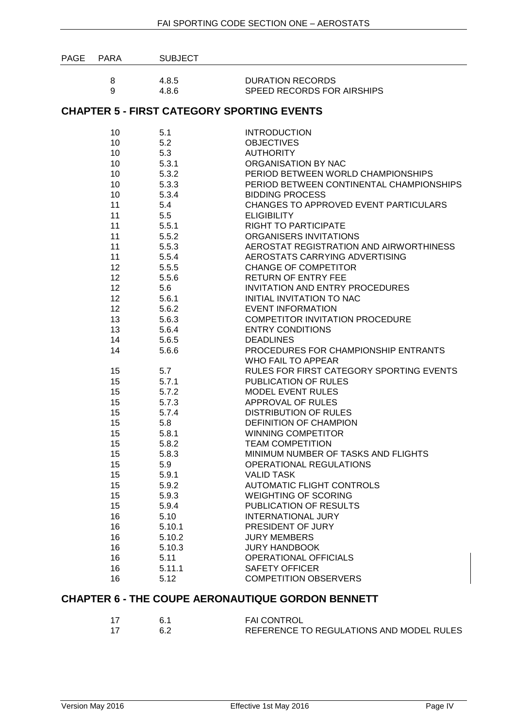| <b>PAGE</b> | PARA | <b>SUBJECT</b> |                                                   |
|-------------|------|----------------|---------------------------------------------------|
|             |      |                |                                                   |
|             | 8    | 4.8.5          | <b>DURATION RECORDS</b>                           |
|             | 9    | 4.8.6          | SPEED RECORDS FOR AIRSHIPS                        |
|             |      |                | <b>CHAPTER 5 - FIRST CATEGORY SPORTING EVENTS</b> |
|             | 10   | 5.1            | <b>INTRODUCTION</b>                               |
|             | 10   | 5.2            | <b>OBJECTIVES</b>                                 |
|             | 10   | 5.3            | <b>AUTHORITY</b>                                  |
|             | 10   | 5.3.1          | ORGANISATION BY NAC                               |
|             | 10   | 5.3.2          | PERIOD BETWEEN WORLD CHAMPIONSHIPS                |
|             | 10   | 5.3.3          | PERIOD BETWEEN CONTINENTAL CHAMPIONSHIPS          |
|             | 10   | 5.3.4          | <b>BIDDING PROCESS</b>                            |
|             | 11   | 5.4            | CHANGES TO APPROVED EVENT PARTICULARS             |
|             | 11   | 5.5            | <b>ELIGIBILITY</b>                                |
|             | 11   | 5.5.1          | <b>RIGHT TO PARTICIPATE</b>                       |
|             | 11   | 5.5.2          | ORGANISERS INVITATIONS                            |
|             | 11   | 5.5.3          | AEROSTAT REGISTRATION AND AIRWORTHINESS           |
|             | 11   | 5.5.4          | AEROSTATS CARRYING ADVERTISING                    |
|             | 12   | 5.5.5          | <b>CHANGE OF COMPETITOR</b>                       |
|             | 12   | 5.5.6          | <b>RETURN OF ENTRY FEE</b>                        |
|             | 12   | 5.6            | <b>INVITATION AND ENTRY PROCEDURES</b>            |
|             | 12   | 5.6.1          | INITIAL INVITATION TO NAC                         |
|             | 12   | 5.6.2          | <b>EVENT INFORMATION</b>                          |
|             | 13   | 5.6.3          | <b>COMPETITOR INVITATION PROCEDURE</b>            |
|             | 13   | 5.6.4          | <b>ENTRY CONDITIONS</b>                           |
|             | 14   | 5.6.5          | <b>DEADLINES</b>                                  |
|             | 14   | 5.6.6          | PROCEDURES FOR CHAMPIONSHIP ENTRANTS              |
|             |      |                | <b>WHO FAIL TO APPEAR</b>                         |
|             | 15   | 5.7            | RULES FOR FIRST CATEGORY SPORTING EVENTS          |
|             | 15   | 5.7.1          | PUBLICATION OF RULES                              |
|             | 15   | 5.7.2          | <b>MODEL EVENT RULES</b>                          |
|             | 15   | 5.7.3          | APPROVAL OF RULES                                 |
|             | 15   | 5.7.4          | <b>DISTRIBUTION OF RULES</b>                      |
|             | 15   | 5.8            | <b>DEFINITION OF CHAMPION</b>                     |
|             | 15   | 5.8.1          | <b>WINNING COMPETITOR</b>                         |
|             | 15   | 5.8.2          | <b>TEAM COMPETITION</b>                           |
|             | 15   | 5.8.3          | MINIMUM NUMBER OF TASKS AND FLIGHTS               |
|             | 15   | 5.9            | OPERATIONAL REGULATIONS                           |
|             | 15   | 5.9.1          | <b>VALID TASK</b>                                 |
|             | 15   | 5.9.2          | <b>AUTOMATIC FLIGHT CONTROLS</b>                  |
|             | 15   | 5.9.3          | <b>WEIGHTING OF SCORING</b>                       |
|             | 15   | 5.9.4          | PUBLICATION OF RESULTS                            |
|             | 16   | 5.10           | <b>INTERNATIONAL JURY</b>                         |
|             | 16   | 5.10.1         | PRESIDENT OF JURY                                 |
|             | 16   | 5.10.2         | <b>JURY MEMBERS</b>                               |
|             | 16   | 5.10.3         | <b>JURY HANDBOOK</b>                              |
|             | 16   | 5.11           | <b>OPERATIONAL OFFICIALS</b>                      |
|             | 16   | 5.11.1         | <b>SAFETY OFFICER</b>                             |
|             | 16   | 5.12           | <b>COMPETITION OBSERVERS</b>                      |

## **CHAPTER 6 - THE COUPE AERONAUTIQUE GORDON BENNETT**

| 17 | <b>FAI CONTROL</b>                       |
|----|------------------------------------------|
| 17 | REFERENCE TO REGULATIONS AND MODEL RULES |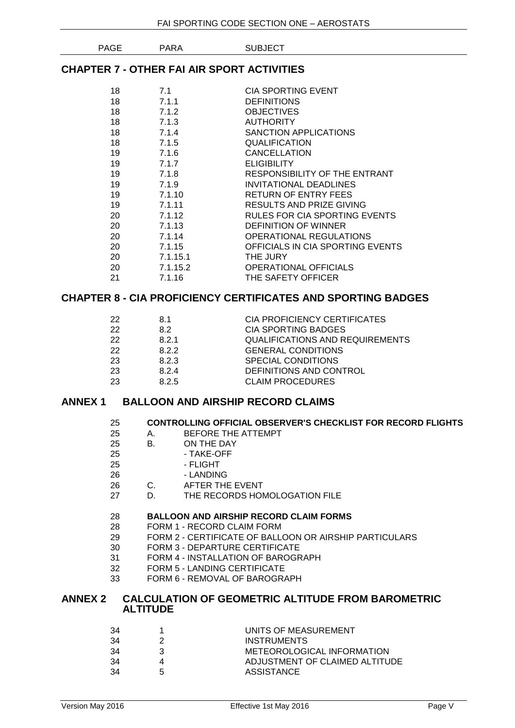## **CHAPTER 7 - OTHER FAI AIR SPORT ACTIVITIES**

PAGE PARA SUBJECT

| 18 | 7.1      | CIA SPORTING EVENT               |
|----|----------|----------------------------------|
| 18 | 7.1.1    | <b>DEFINITIONS</b>               |
| 18 | 7.1.2    | <b>OBJECTIVES</b>                |
| 18 | 7.1.3    | <b>AUTHORITY</b>                 |
| 18 | 7.1.4    | <b>SANCTION APPLICATIONS</b>     |
| 18 | 7.1.5    | <b>QUALIFICATION</b>             |
| 19 | 7.1.6    | <b>CANCELLATION</b>              |
| 19 | 7.1.7    | <b>ELIGIBILITY</b>               |
| 19 | 7.1.8    | RESPONSIBILITY OF THE ENTRANT    |
| 19 | 7.1.9    | <b>INVITATIONAL DEADLINES</b>    |
| 19 | 7.1.10   | <b>RETURN OF ENTRY FEES</b>      |
| 19 | 7.1.11   | RESULTS AND PRIZE GIVING         |
| 20 | 7.1.12   | RULES FOR CIA SPORTING EVENTS    |
| 20 | 7.1.13   | <b>DEFINITION OF WINNER</b>      |
| 20 | 7.1.14   | <b>OPERATIONAL REGULATIONS</b>   |
| 20 | 7.1.15   | OFFICIALS IN CIA SPORTING EVENTS |
| 20 | 7.1.15.1 | THE JURY                         |
| 20 | 7.1.15.2 | <b>OPERATIONAL OFFICIALS</b>     |
| 21 | 7.1.16   | THE SAFETY OFFICER               |

## **CHAPTER 8 - CIA PROFICIENCY CERTIFICATES AND SPORTING BADGES**

| 22 | 8.1   | <b>CIA PROFICIENCY CERTIFICATES</b>    |
|----|-------|----------------------------------------|
| 22 | 8.2   | CIA SPORTING BADGES                    |
| 22 | 8.2.1 | <b>QUALIFICATIONS AND REQUIREMENTS</b> |
| 22 | 8.2.2 | <b>GENERAL CONDITIONS</b>              |
| 23 | 8.2.3 | SPECIAL CONDITIONS                     |
| 23 | 8.2.4 | DEFINITIONS AND CONTROL                |
| 23 | 8.2.5 | <b>CLAIM PROCEDURES</b>                |
|    |       |                                        |

## **ANNEX 1 BALLOON AND AIRSHIP RECORD CLAIMS**

## **CONTROLLING OFFICIAL OBSERVER'S CHECKLIST FOR RECORD FLIGHTS**

- A. BEFORE THE ATTEMPT
- B. ON THE DAY
- 25 TAKE-OFF
- 25 FLIGHT
- 26 LANDING

#### C. AFTER THE EVENT

D. THE RECORDS HOMOLOGATION FILE

## **BALLOON AND AIRSHIP RECORD CLAIM FORMS**

- 28 FORM 1 RECORD CLAIM FORM<br>29 FORM 2 CERTIFICATE OF BALL
- FORM 2 CERTIFICATE OF BALLOON OR AIRSHIP PARTICULARS
- FORM 3 DEPARTURE CERTIFICATE
- FORM 4 INSTALLATION OF BAROGRAPH
- FORM 5 LANDING CERTIFICATE
- FORM 6 REMOVAL OF BAROGRAPH

## **ANNEX 2 CALCULATION OF GEOMETRIC ALTITUDE FROM BAROMETRIC ALTITUDE**

| З | UNITS OF MEASUREMENT<br><b>INSTRUMENTS</b><br>METEOROLOGICAL INFORMATION |
|---|--------------------------------------------------------------------------|
|   |                                                                          |
|   |                                                                          |
|   | ADJUSTMENT OF CLAIMED ALTITUDE                                           |
| h | ASSISTANCE                                                               |
|   |                                                                          |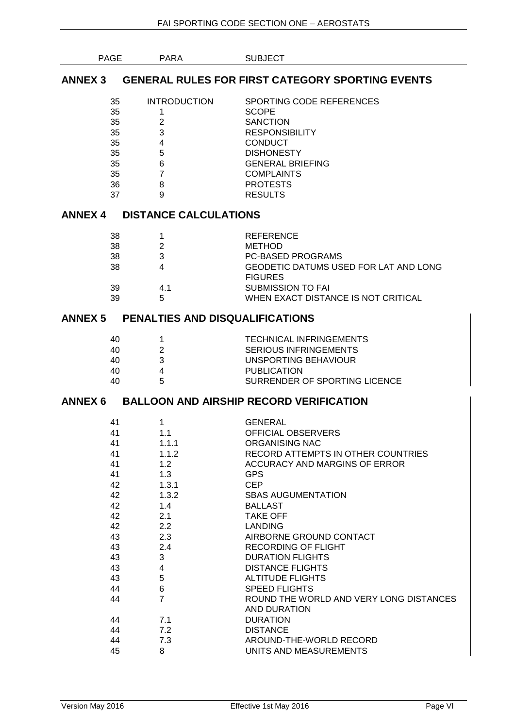| <b>PAGE</b>                                                                                                                      | <b>PARA</b>                                                                                                                                                                  |                              | <b>SUBJECT</b>                                                                                                                                                                                                                                                                                                                                                                                                                                                                                                                                                                      |
|----------------------------------------------------------------------------------------------------------------------------------|------------------------------------------------------------------------------------------------------------------------------------------------------------------------------|------------------------------|-------------------------------------------------------------------------------------------------------------------------------------------------------------------------------------------------------------------------------------------------------------------------------------------------------------------------------------------------------------------------------------------------------------------------------------------------------------------------------------------------------------------------------------------------------------------------------------|
| <b>ANNEX 3</b>                                                                                                                   |                                                                                                                                                                              |                              | <b>GENERAL RULES FOR FIRST CATEGORY SPORTING EVENTS</b>                                                                                                                                                                                                                                                                                                                                                                                                                                                                                                                             |
| 35<br>35<br>35<br>35<br>35<br>35<br>35<br>35<br>36<br>37                                                                         | 1<br>$\overline{2}$<br>3<br>4<br>5<br>6<br>$\overline{7}$<br>8<br>9                                                                                                          | <b>INTRODUCTION</b>          | SPORTING CODE REFERENCES<br><b>SCOPE</b><br><b>SANCTION</b><br><b>RESPONSIBILITY</b><br><b>CONDUCT</b><br><b>DISHONESTY</b><br><b>GENERAL BRIEFING</b><br><b>COMPLAINTS</b><br><b>PROTESTS</b><br><b>RESULTS</b>                                                                                                                                                                                                                                                                                                                                                                    |
| ANNEX 4                                                                                                                          |                                                                                                                                                                              | <b>DISTANCE CALCULATIONS</b> |                                                                                                                                                                                                                                                                                                                                                                                                                                                                                                                                                                                     |
| 38<br>38<br>38<br>38<br>39<br>39                                                                                                 | 1<br>$\overline{2}$<br>3<br>$\overline{4}$<br>4.1<br>5                                                                                                                       |                              | <b>REFERENCE</b><br><b>METHOD</b><br><b>PC-BASED PROGRAMS</b><br>GEODETIC DATUMS USED FOR LAT AND LONG<br><b>FIGURES</b><br><b>SUBMISSION TO FAI</b><br>WHEN EXACT DISTANCE IS NOT CRITICAL                                                                                                                                                                                                                                                                                                                                                                                         |
| <b>ANNEX 5</b>                                                                                                                   |                                                                                                                                                                              |                              | PENALTIES AND DISQUALIFICATIONS                                                                                                                                                                                                                                                                                                                                                                                                                                                                                                                                                     |
| 40<br>40<br>40<br>40<br>40                                                                                                       | 1<br>$\overline{2}$<br>3<br>4<br>5                                                                                                                                           |                              | <b>TECHNICAL INFRINGEMENTS</b><br><b>SERIOUS INFRINGEMENTS</b><br>UNSPORTING BEHAVIOUR<br><b>PUBLICATION</b><br>SURRENDER OF SPORTING LICENCE                                                                                                                                                                                                                                                                                                                                                                                                                                       |
| ANNEX 6                                                                                                                          |                                                                                                                                                                              |                              | <b>BALLOON AND AIRSHIP RECORD VERIFICATION</b>                                                                                                                                                                                                                                                                                                                                                                                                                                                                                                                                      |
| 41<br>41<br>41<br>41<br>41<br>41<br>42<br>42<br>42<br>42<br>42<br>43<br>43<br>43<br>43<br>43<br>44<br>44<br>44<br>44<br>44<br>45 | 1<br>$1.1$<br>1.1.1<br>1.1.2<br>1.2<br>1.3<br>1.3.1<br>1.3.2<br>1.4<br>2.1<br>2.2<br>2.3<br>2.4<br>3<br>$\overline{4}$<br>5<br>6<br>$\overline{7}$<br>7.1<br>7.2<br>7.3<br>8 |                              | <b>GENERAL</b><br>OFFICIAL OBSERVERS<br><b>ORGANISING NAC</b><br>RECORD ATTEMPTS IN OTHER COUNTRIES<br><b>ACCURACY AND MARGINS OF ERROR</b><br><b>GPS</b><br><b>CEP</b><br><b>SBAS AUGUMENTATION</b><br><b>BALLAST</b><br><b>TAKE OFF</b><br><b>LANDING</b><br>AIRBORNE GROUND CONTACT<br><b>RECORDING OF FLIGHT</b><br><b>DURATION FLIGHTS</b><br><b>DISTANCE FLIGHTS</b><br><b>ALTITUDE FLIGHTS</b><br><b>SPEED FLIGHTS</b><br>ROUND THE WORLD AND VERY LONG DISTANCES<br>AND DURATION<br><b>DURATION</b><br><b>DISTANCE</b><br>AROUND-THE-WORLD RECORD<br>UNITS AND MEASUREMENTS |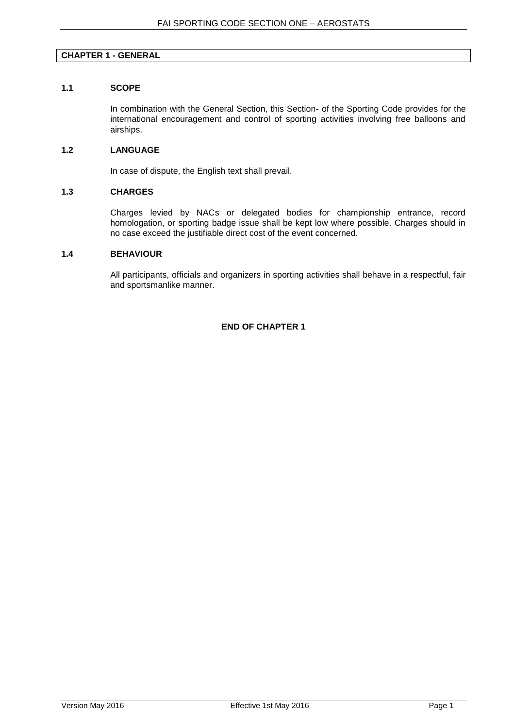#### **CHAPTER 1 - GENERAL**

#### **1.1 SCOPE**

In combination with the General Section, this Section- of the Sporting Code provides for the international encouragement and control of sporting activities involving free balloons and airships.

## **1.2 LANGUAGE**

In case of dispute, the English text shall prevail.

#### **1.3 CHARGES**

Charges levied by NACs or delegated bodies for championship entrance, record homologation, or sporting badge issue shall be kept low where possible. Charges should in no case exceed the justifiable direct cost of the event concerned.

#### **1.4 BEHAVIOUR**

All participants, officials and organizers in sporting activities shall behave in a respectful, fair and sportsmanlike manner.

## **END OF CHAPTER 1**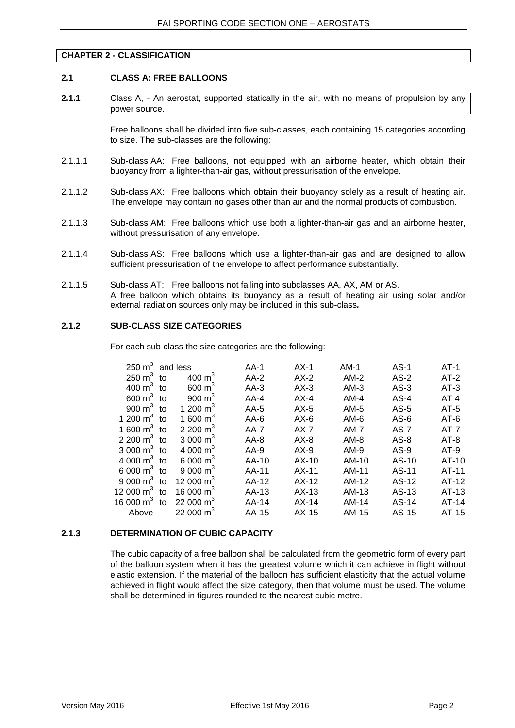#### **CHAPTER 2 - CLASSIFICATION**

#### **2.1 CLASS A: FREE BALLOONS**

**2.1.1** Class A, - An aerostat, supported statically in the air, with no means of propulsion by any power source.

> Free balloons shall be divided into five sub-classes, each containing 15 categories according to size. The sub-classes are the following:

- 2.1.1.1 Sub-class AA: Free balloons, not equipped with an airborne heater, which obtain their buoyancy from a lighter-than-air gas, without pressurisation of the envelope.
- 2.1.1.2 Sub-class AX: Free balloons which obtain their buoyancy solely as a result of heating air. The envelope may contain no gases other than air and the normal products of combustion.
- 2.1.1.3 Sub-class AM: Free balloons which use both a lighter-than-air gas and an airborne heater, without pressurisation of any envelope.
- 2.1.1.4 Sub-class AS: Free balloons which use a lighter-than-air gas and are designed to allow sufficient pressurisation of the envelope to affect performance substantially.
- 2.1.1.5 Sub-class AT: Free balloons not falling into subclasses AA, AX, AM or AS. A free balloon which obtains its buoyancy as a result of heating air using solar and/or external radiation sources only may be included in this sub-class*.*

#### **2.1.2 SUB-CLASS SIZE CATEGORIES**

For each sub-class the size categories are the following:

| 250 $m3$ and less        |                     | $AA-1$      | $AX-1$  | AM-1    | $AS-1$  | $AT-1$          |
|--------------------------|---------------------|-------------|---------|---------|---------|-----------------|
| 250 $m3$ to              | $400 \text{ m}^3$   | $AA-2$      | $AX-2$  | $AM-2$  | $AS-2$  | $AT-2$          |
| 400 $m^3$ to             | $600 \text{ m}^3$   | $AA-3$      | $AX-3$  | $AM-3$  | $AS-3$  | $AT-3$          |
| $600 \text{ m}^3$ to     | 900 $m3$            | $AA-4$      | $AX-4$  | $AM-4$  | $AS-4$  | AT <sub>4</sub> |
| 900 $m^3$ to             | 1 200 $m^3$         | AA-5        | $AX-5$  | $AM-5$  | $AS-5$  | $AT-5$          |
| 1 200 $m^3$ to           | 1 600 $m^3$         | AA-6        | $AX-6$  | AM-6    | $AS-6$  | $AT-6$          |
| 1 600 $\text{m}^3$ to    | 2 200 $m^3$         | <b>AA-7</b> | $AX-7$  | AM-7    | $AS-7$  | $AT-7$          |
| 2 200 $m^3$ to           | 3 000 $m^3$         | AA-8        | $AX-8$  | AM-8    | $AS-8$  | $AT-8$          |
| 3 000 $\text{m}^3$ to    | 4 000 $m^3$         | $AA-9$      | $AX-9$  | $AM-9$  | $AS-9$  | $AT-9$          |
| 4.000 $\text{m}^3$ to    | 6 000 $m^3$         | AA-10       | $AX-10$ | AM-10   | AS-10   | AT-10           |
| 6.000 $\text{m}^3$ to    | 9 000 $m^3$         | AA-11       | $AX-11$ | AM-11   | AS-11   | AT-11           |
| 9 000 $m^3$ to           | 12 000 $m^3$        | AA-12       | $AX-12$ | AM-12   | AS-12   | AT-12           |
| 12 000 $\mathrm{m}^3$ to | 16 000 $m^3$        | AA-13       | $AX-13$ | $AM-13$ | $AS-13$ | AT-13           |
| 16 000 $\text{m}^3$ to   | $22000 \text{ m}^3$ | AA-14       | $AX-14$ | AM-14   | AS-14   | AT-14           |
| Above                    | 22 000 $m^3$        | AA-15       | $AX-15$ | AM-15   | AS-15   | AT-15           |
|                          |                     |             |         |         |         |                 |

#### **2.1.3 DETERMINATION OF CUBIC CAPACITY**

The cubic capacity of a free balloon shall be calculated from the geometric form of every part of the balloon system when it has the greatest volume which it can achieve in flight without elastic extension. If the material of the balloon has sufficient elasticity that the actual volume achieved in flight would affect the size category, then that volume must be used. The volume shall be determined in figures rounded to the nearest cubic metre.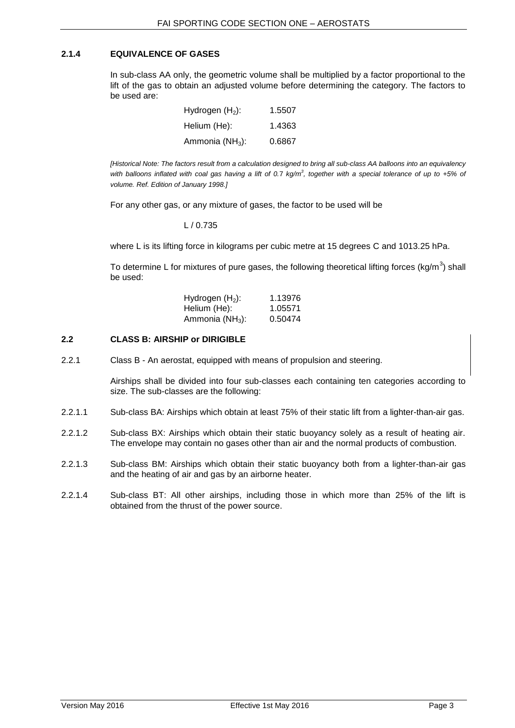#### **2.1.4 EQUIVALENCE OF GASES**

In sub-class AA only, the geometric volume shall be multiplied by a factor proportional to the lift of the gas to obtain an adjusted volume before determining the category. The factors to be used are:

| Hydrogen (H <sub>2</sub> ): | 1.5507 |
|-----------------------------|--------|
| Helium (He):                | 1.4363 |
| Ammonia (NH <sub>3</sub> ): | 0.6867 |

*[Historical Note: The factors result from a calculation designed to bring all sub-class AA balloons into an equivalency*  with balloons inflated with coal gas having a lift of 0.7 kg/m<sup>3</sup>, together with a special tolerance of up to +5% of *volume. Ref. Edition of January 1998.]*

For any other gas, or any mixture of gases, the factor to be used will be

L / 0.735

where L is its lifting force in kilograms per cubic metre at 15 degrees C and 1013.25 hPa.

To determine L for mixtures of pure gases, the following theoretical lifting forces (kg/m<sup>3</sup>) shall be used:

| 1.13976 |
|---------|
| 1.05571 |
| 0.50474 |
|         |

#### **2.2 CLASS B: AIRSHIP or DIRIGIBLE**

2.2.1 Class B - An aerostat, equipped with means of propulsion and steering.

Airships shall be divided into four sub-classes each containing ten categories according to size. The sub-classes are the following:

- 2.2.1.1 Sub-class BA: Airships which obtain at least 75% of their static lift from a lighter-than-air gas.
- 2.2.1.2 Sub-class BX: Airships which obtain their static buoyancy solely as a result of heating air. The envelope may contain no gases other than air and the normal products of combustion.
- 2.2.1.3 Sub-class BM: Airships which obtain their static buoyancy both from a lighter-than-air gas and the heating of air and gas by an airborne heater.
- 2.2.1.4 Sub-class BT: All other airships, including those in which more than 25% of the lift is obtained from the thrust of the power source.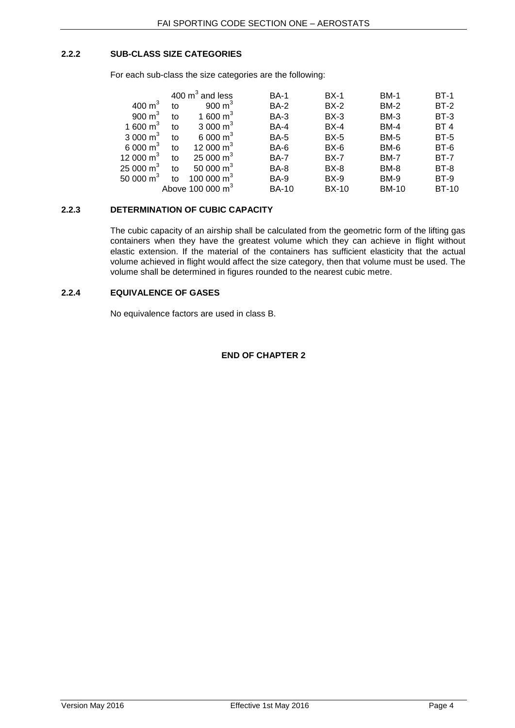## **2.2.2 SUB-CLASS SIZE CATEGORIES**

For each sub-class the size categories are the following:

|                         |    | 400 $m3$ and less            | <b>BA-1</b>  | $BX-1$       | <b>BM-1</b>  | $BT-1$          |
|-------------------------|----|------------------------------|--------------|--------------|--------------|-----------------|
| 400 $m3$                | to | 900 $m3$                     | <b>BA-2</b>  | <b>BX-2</b>  | <b>BM-2</b>  | <b>BT-2</b>     |
| 900 $m3$                | to | 1 600 $m^3$                  | <b>BA-3</b>  | $BX-3$       | BM-3         | BT-3            |
| 1 600 $m^3$             | to | 3 000 $m^3$                  | <b>BA-4</b>  | $BX-4$       | <b>BM-4</b>  | BT <sub>4</sub> |
| 3 000 $m^3$             | to | 6 000 $m^3$                  | <b>BA-5</b>  | <b>BX-5</b>  | <b>BM-5</b>  | <b>BT-5</b>     |
| 6 000 $\textsf{m}^{3}$  | to | 12 000 $m^3$                 | BA-6         | $BX-6$       | BM-6         | BT-6            |
| 12 000 $\text{m}^3$     | to | 25 000 $m3$                  | <b>BA-7</b>  | <b>BX-7</b>  | <b>BM-7</b>  | <b>BT-7</b>     |
| 25 000 $\mathsf{m}^3$   | to | 50 000 $m^3$                 | <b>BA-8</b>  | <b>BX-8</b>  | BM-8         | BT-8            |
| 50 000 $\textsf{m}^{3}$ | to | 100 000 $\mathrm{m}^3$       | <b>BA-9</b>  | <b>BX-9</b>  | <b>BM-9</b>  | <b>BT-9</b>     |
|                         |    | Above 100 000 m <sup>3</sup> | <b>BA-10</b> | <b>BX-10</b> | <b>BM-10</b> | <b>BT-10</b>    |

### **2.2.3 DETERMINATION OF CUBIC CAPACITY**

The cubic capacity of an airship shall be calculated from the geometric form of the lifting gas containers when they have the greatest volume which they can achieve in flight without elastic extension. If the material of the containers has sufficient elasticity that the actual volume achieved in flight would affect the size category, then that volume must be used. The volume shall be determined in figures rounded to the nearest cubic metre.

#### **2.2.4 EQUIVALENCE OF GASES**

No equivalence factors are used in class B.

### **END OF CHAPTER 2**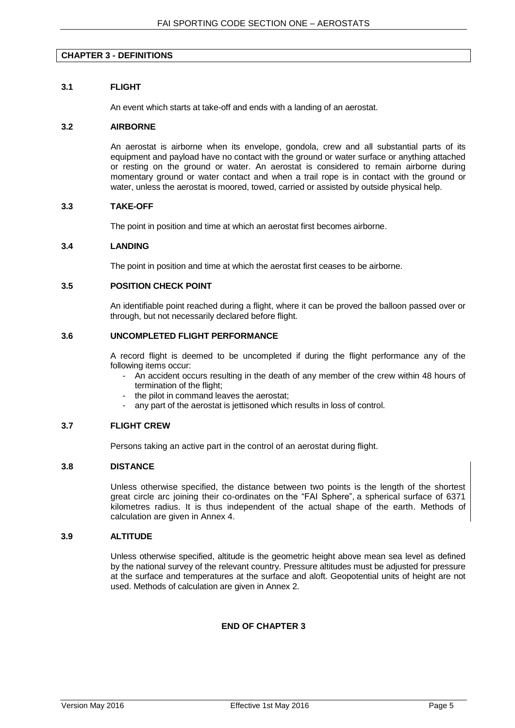#### **CHAPTER 3 - DEFINITIONS**

#### **3.1 FLIGHT**

An event which starts at take-off and ends with a landing of an aerostat.

#### **3.2 AIRBORNE**

An aerostat is airborne when its envelope, gondola, crew and all substantial parts of its equipment and payload have no contact with the ground or water surface or anything attached or resting on the ground or water. An aerostat is considered to remain airborne during momentary ground or water contact and when a trail rope is in contact with the ground or water, unless the aerostat is moored, towed, carried or assisted by outside physical help.

#### **3.3 TAKE-OFF**

The point in position and time at which an aerostat first becomes airborne.

#### **3.4 LANDING**

The point in position and time at which the aerostat first ceases to be airborne.

#### **3.5 POSITION CHECK POINT**

An identifiable point reached during a flight, where it can be proved the balloon passed over or through, but not necessarily declared before flight.

#### **3.6 UNCOMPLETED FLIGHT PERFORMANCE**

A record flight is deemed to be uncompleted if during the flight performance any of the following items occur:

- An accident occurs resulting in the death of any member of the crew within 48 hours of termination of the flight;
- the pilot in command leaves the aerostat:
- any part of the aerostat is jettisoned which results in loss of control.

#### **3.7 FLIGHT CREW**

Persons taking an active part in the control of an aerostat during flight.

#### **3.8 DISTANCE**

Unless otherwise specified, the distance between two points is the length of the shortest great circle arc joining their co-ordinates on the "FAI Sphere", a spherical surface of 6371 kilometres radius. It is thus independent of the actual shape of the earth. Methods of calculation are given in Annex 4.

#### **3.9 ALTITUDE**

Unless otherwise specified, altitude is the geometric height above mean sea level as defined by the national survey of the relevant country. Pressure altitudes must be adjusted for pressure at the surface and temperatures at the surface and aloft. Geopotential units of height are not used. Methods of calculation are given in Annex 2.

#### **END OF CHAPTER 3**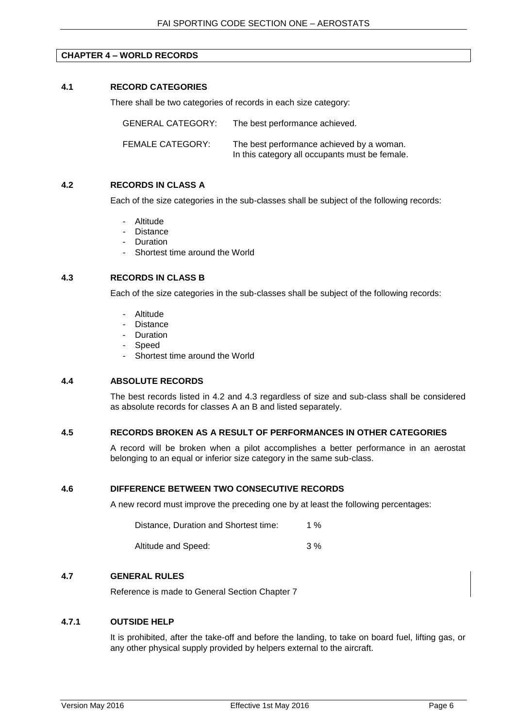#### **CHAPTER 4 – WORLD RECORDS**

#### **4.1 RECORD CATEGORIES**

There shall be two categories of records in each size category:

| <b>GENERAL CATEGORY:</b> | The best performance achieved.                                                              |
|--------------------------|---------------------------------------------------------------------------------------------|
| <b>FEMALE CATEGORY:</b>  | The best performance achieved by a woman.<br>In this category all occupants must be female. |

#### **4.2 RECORDS IN CLASS A**

Each of the size categories in the sub-classes shall be subject of the following records:

- **Altitude**
- **Distance**
- **Duration**
- Shortest time around the World

#### **4.3 RECORDS IN CLASS B**

Each of the size categories in the sub-classes shall be subject of the following records:

- Altitude
- Distance
- **Duration**
- **Speed**
- Shortest time around the World

#### **4.4 ABSOLUTE RECORDS**

The best records listed in 4.2 and 4.3 regardless of size and sub-class shall be considered as absolute records for classes A an B and listed separately.

#### **4.5 RECORDS BROKEN AS A RESULT OF PERFORMANCES IN OTHER CATEGORIES**

A record will be broken when a pilot accomplishes a better performance in an aerostat belonging to an equal or inferior size category in the same sub-class.

#### **4.6 DIFFERENCE BETWEEN TWO CONSECUTIVE RECORDS**

A new record must improve the preceding one by at least the following percentages:

| Distance, Duration and Shortest time: | 1 %   |
|---------------------------------------|-------|
| Altitude and Speed:                   | $3\%$ |

#### **4.7 GENERAL RULES**

Reference is made to General Section Chapter 7

#### **4.7.1 OUTSIDE HELP**

It is prohibited, after the take-off and before the landing, to take on board fuel, lifting gas, or any other physical supply provided by helpers external to the aircraft.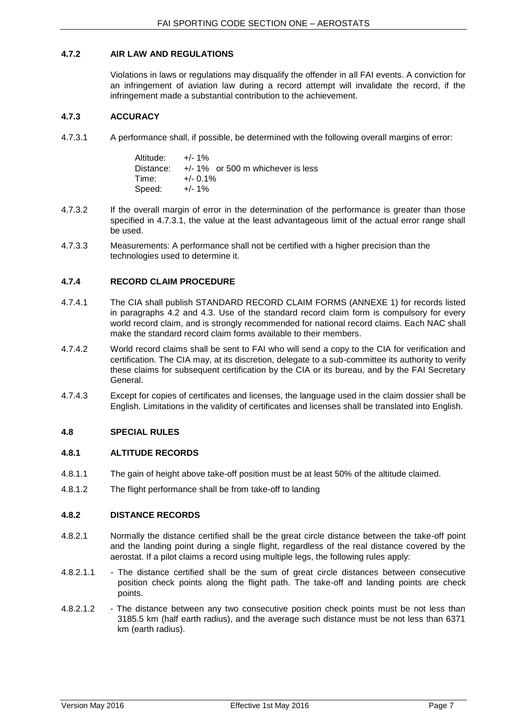#### **4.7.2 AIR LAW AND REGULATIONS**

Violations in laws or regulations may disqualify the offender in all FAI events. A conviction for an infringement of aviation law during a record attempt will invalidate the record, if the infringement made a substantial contribution to the achievement.

#### **4.7.3 ACCURACY**

4.7.3.1 A performance shall, if possible, be determined with the following overall margins of error:

| Altitude: | +/- 1%                              |
|-----------|-------------------------------------|
| Distance: | $+/-$ 1% or 500 m whichever is less |
| Time:     | $+/- 0.1\%$                         |
| Speed:    | $+/- 1\%$                           |

- 4.7.3.2 If the overall margin of error in the determination of the performance is greater than those specified in 4.7.3.1, the value at the least advantageous limit of the actual error range shall be used.
- 4.7.3.3 Measurements: A performance shall not be certified with a higher precision than the technologies used to determine it.

#### **4.7.4 RECORD CLAIM PROCEDURE**

- 4.7.4.1 The CIA shall publish STANDARD RECORD CLAIM FORMS (ANNEXE 1) for records listed in paragraphs 4.2 and 4.3. Use of the standard record claim form is compulsory for every world record claim, and is strongly recommended for national record claims. Each NAC shall make the standard record claim forms available to their members.
- 4.7.4.2 World record claims shall be sent to FAI who will send a copy to the CIA for verification and certification. The CIA may, at its discretion, delegate to a sub-committee its authority to verify these claims for subsequent certification by the CIA or its bureau, and by the FAI Secretary General.
- 4.7.4.3 Except for copies of certificates and licenses, the language used in the claim dossier shall be English. Limitations in the validity of certificates and licenses shall be translated into English.

#### **4.8 SPECIAL RULES**

#### **4.8.1 ALTITUDE RECORDS**

- 4.8.1.1 The gain of height above take-off position must be at least 50% of the altitude claimed.
- 4.8.1.2 The flight performance shall be from take-off to landing

#### **4.8.2 DISTANCE RECORDS**

- 4.8.2.1 Normally the distance certified shall be the great circle distance between the take-off point and the landing point during a single flight, regardless of the real distance covered by the aerostat. If a pilot claims a record using multiple legs, the following rules apply:
- 4.8.2.1.1 The distance certified shall be the sum of great circle distances between consecutive position check points along the flight path. The take-off and landing points are check points.
- 4.8.2.1.2 The distance between any two consecutive position check points must be not less than 3185.5 km (half earth radius), and the average such distance must be not less than 6371 km (earth radius).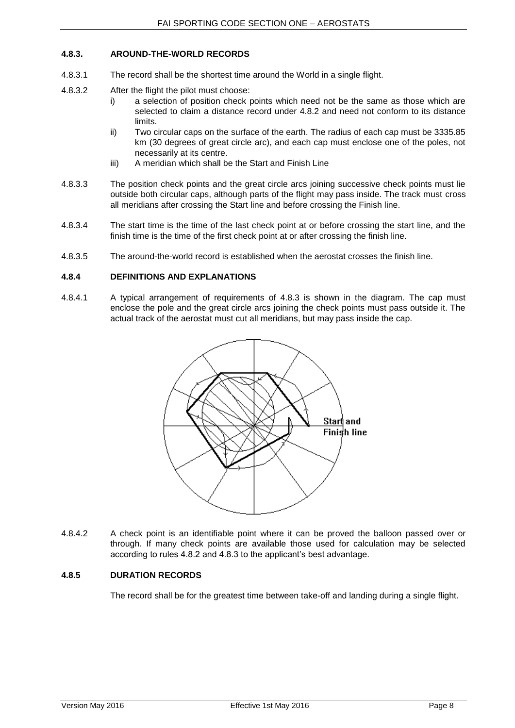#### **4.8.3. AROUND-THE-WORLD RECORDS**

- 4.8.3.1 The record shall be the shortest time around the World in a single flight.
- 4.8.3.2 After the flight the pilot must choose:
	- i) a selection of position check points which need not be the same as those which are selected to claim a distance record under 4.8.2 and need not conform to its distance limits.
	- ii) Two circular caps on the surface of the earth. The radius of each cap must be 3335.85 km (30 degrees of great circle arc), and each cap must enclose one of the poles, not necessarily at its centre.
	- iii) A meridian which shall be the Start and Finish Line
- 4.8.3.3 The position check points and the great circle arcs joining successive check points must lie outside both circular caps, although parts of the flight may pass inside. The track must cross all meridians after crossing the Start line and before crossing the Finish line.
- 4.8.3.4 The start time is the time of the last check point at or before crossing the start line, and the finish time is the time of the first check point at or after crossing the finish line.
- 4.8.3.5 The around-the-world record is established when the aerostat crosses the finish line.

#### **4.8.4 DEFINITIONS AND EXPLANATIONS**

4.8.4.1 A typical arrangement of requirements of 4.8.3 is shown in the diagram. The cap must enclose the pole and the great circle arcs joining the check points must pass outside it. The actual track of the aerostat must cut all meridians, but may pass inside the cap.



4.8.4.2 A check point is an identifiable point where it can be proved the balloon passed over or through. If many check points are available those used for calculation may be selected according to rules 4.8.2 and 4.8.3 to the applicant's best advantage.

#### **4.8.5 DURATION RECORDS**

The record shall be for the greatest time between take-off and landing during a single flight.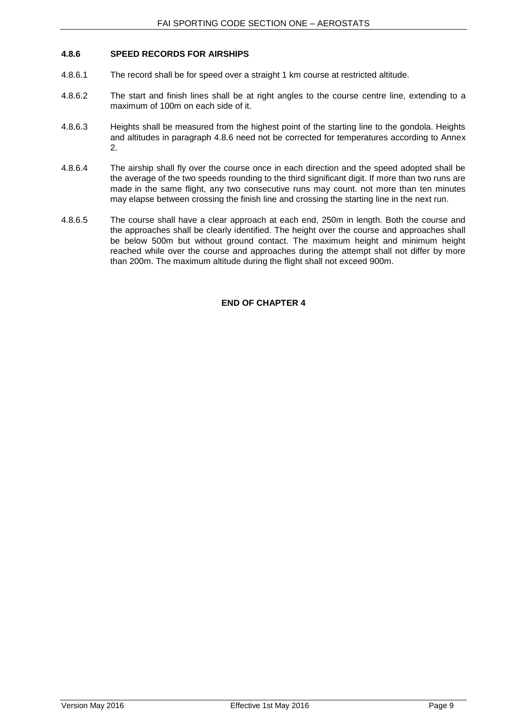## **4.8.6 SPEED RECORDS FOR AIRSHIPS**

- 4.8.6.1 The record shall be for speed over a straight 1 km course at restricted altitude.
- 4.8.6.2 The start and finish lines shall be at right angles to the course centre line, extending to a maximum of 100m on each side of it.
- 4.8.6.3 Heights shall be measured from the highest point of the starting line to the gondola. Heights and altitudes in paragraph 4.8.6 need not be corrected for temperatures according to Annex 2.
- 4.8.6.4 The airship shall fly over the course once in each direction and the speed adopted shall be the average of the two speeds rounding to the third significant digit. If more than two runs are made in the same flight, any two consecutive runs may count. not more than ten minutes may elapse between crossing the finish line and crossing the starting line in the next run.
- 4.8.6.5 The course shall have a clear approach at each end, 250m in length. Both the course and the approaches shall be clearly identified. The height over the course and approaches shall be below 500m but without ground contact. The maximum height and minimum height reached while over the course and approaches during the attempt shall not differ by more than 200m. The maximum altitude during the flight shall not exceed 900m.

## **END OF CHAPTER 4**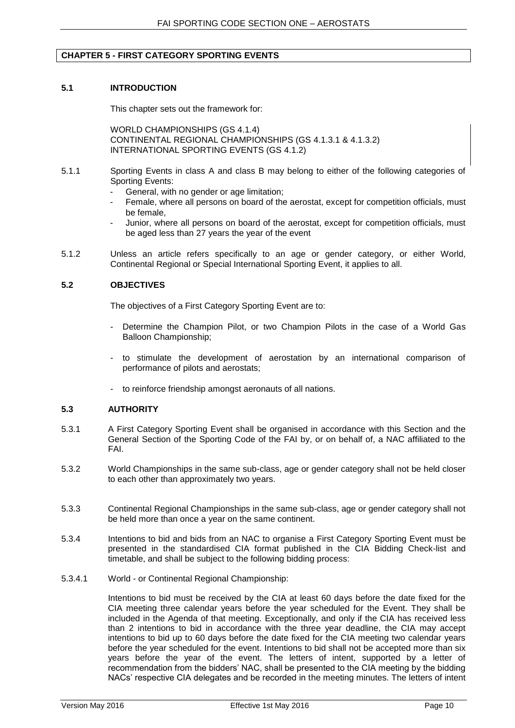#### **CHAPTER 5 - FIRST CATEGORY SPORTING EVENTS**

#### **5.1 INTRODUCTION**

This chapter sets out the framework for:

WORLD CHAMPIONSHIPS (GS 4.1.4) CONTINENTAL REGIONAL CHAMPIONSHIPS (GS 4.1.3.1 & 4.1.3.2) INTERNATIONAL SPORTING EVENTS (GS 4.1.2)

- 5.1.1 Sporting Events in class A and class B may belong to either of the following categories of Sporting Events:
	- General, with no gender or age limitation;
	- Female, where all persons on board of the aerostat, except for competition officials, must be female,
	- Junior, where all persons on board of the aerostat, except for competition officials, must be aged less than 27 years the year of the event
- 5.1.2 Unless an article refers specifically to an age or gender category, or either World, Continental Regional or Special International Sporting Event, it applies to all.

#### **5.2 OBJECTIVES**

The objectives of a First Category Sporting Event are to:

- Determine the Champion Pilot, or two Champion Pilots in the case of a World Gas Balloon Championship;
- to stimulate the development of aerostation by an international comparison of performance of pilots and aerostats;
- to reinforce friendship amongst aeronauts of all nations.

#### **5.3 AUTHORITY**

- 5.3.1 A First Category Sporting Event shall be organised in accordance with this Section and the General Section of the Sporting Code of the FAI by, or on behalf of, a NAC affiliated to the FAI.
- 5.3.2 World Championships in the same sub-class, age or gender category shall not be held closer to each other than approximately two years.
- 5.3.3 Continental Regional Championships in the same sub-class, age or gender category shall not be held more than once a year on the same continent.
- 5.3.4 Intentions to bid and bids from an NAC to organise a First Category Sporting Event must be presented in the standardised CIA format published in the CIA Bidding Check-list and timetable, and shall be subject to the following bidding process:
- 5.3.4.1 World or Continental Regional Championship:

Intentions to bid must be received by the CIA at least 60 days before the date fixed for the CIA meeting three calendar years before the year scheduled for the Event. They shall be included in the Agenda of that meeting. Exceptionally, and only if the CIA has received less than 2 intentions to bid in accordance with the three year deadline, the CIA may accept intentions to bid up to 60 days before the date fixed for the CIA meeting two calendar years before the year scheduled for the event. Intentions to bid shall not be accepted more than six years before the year of the event. The letters of intent, supported by a letter of recommendation from the bidders' NAC, shall be presented to the CIA meeting by the bidding NACs' respective CIA delegates and be recorded in the meeting minutes. The letters of intent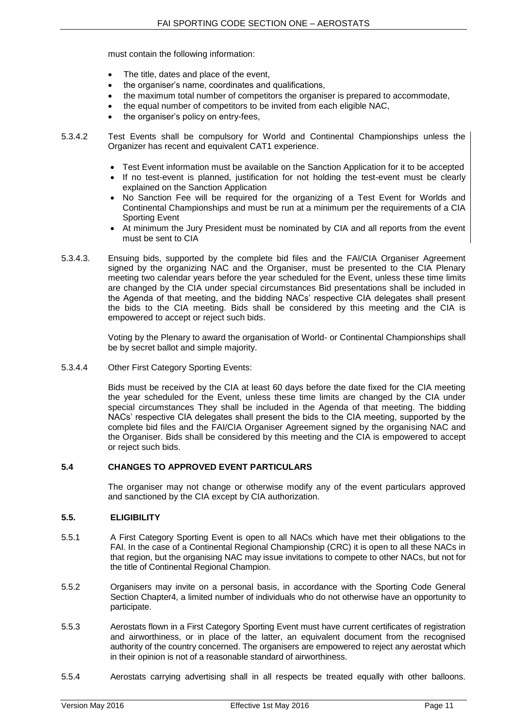must contain the following information:

- The title, dates and place of the event,
- the organiser's name, coordinates and qualifications,
- the maximum total number of competitors the organiser is prepared to accommodate,
- the equal number of competitors to be invited from each eligible NAC,
- the organiser's policy on entry-fees,
- 5.3.4.2 Test Events shall be compulsory for World and Continental Championships unless the Organizer has recent and equivalent CAT1 experience.
	- Test Event information must be available on the Sanction Application for it to be accepted
	- If no test-event is planned, justification for not holding the test-event must be clearly explained on the Sanction Application
	- No Sanction Fee will be required for the organizing of a Test Event for Worlds and Continental Championships and must be run at a minimum per the requirements of a CIA Sporting Event
	- At minimum the Jury President must be nominated by CIA and all reports from the event must be sent to CIA
- 5.3.4.3. Ensuing bids, supported by the complete bid files and the FAI/CIA Organiser Agreement signed by the organizing NAC and the Organiser, must be presented to the CIA Plenary meeting two calendar years before the year scheduled for the Event, unless these time limits are changed by the CIA under special circumstances Bid presentations shall be included in the Agenda of that meeting, and the bidding NACs' respective CIA delegates shall present the bids to the CIA meeting. Bids shall be considered by this meeting and the CIA is empowered to accept or reject such bids.

Voting by the Plenary to award the organisation of World- or Continental Championships shall be by secret ballot and simple majority.

5.3.4.4 Other First Category Sporting Events:

Bids must be received by the CIA at least 60 days before the date fixed for the CIA meeting the year scheduled for the Event, unless these time limits are changed by the CIA under special circumstances They shall be included in the Agenda of that meeting. The bidding NACs' respective CIA delegates shall present the bids to the CIA meeting, supported by the complete bid files and the FAI/CIA Organiser Agreement signed by the organising NAC and the Organiser. Bids shall be considered by this meeting and the CIA is empowered to accept or reject such bids.

#### **5.4 CHANGES TO APPROVED EVENT PARTICULARS**

The organiser may not change or otherwise modify any of the event particulars approved and sanctioned by the CIA except by CIA authorization.

#### **5.5. ELIGIBILITY**

- 5.5.1 A First Category Sporting Event is open to all NACs which have met their obligations to the FAI. In the case of a Continental Regional Championship (CRC) it is open to all these NACs in that region, but the organising NAC may issue invitations to compete to other NACs, but not for the title of Continental Regional Champion.
- 5.5.2 Organisers may invite on a personal basis, in accordance with the Sporting Code General Section Chapter4, a limited number of individuals who do not otherwise have an opportunity to participate.
- 5.5.3 Aerostats flown in a First Category Sporting Event must have current certificates of registration and airworthiness, or in place of the latter, an equivalent document from the recognised authority of the country concerned. The organisers are empowered to reject any aerostat which in their opinion is not of a reasonable standard of airworthiness.
- 5.5.4 Aerostats carrying advertising shall in all respects be treated equally with other balloons.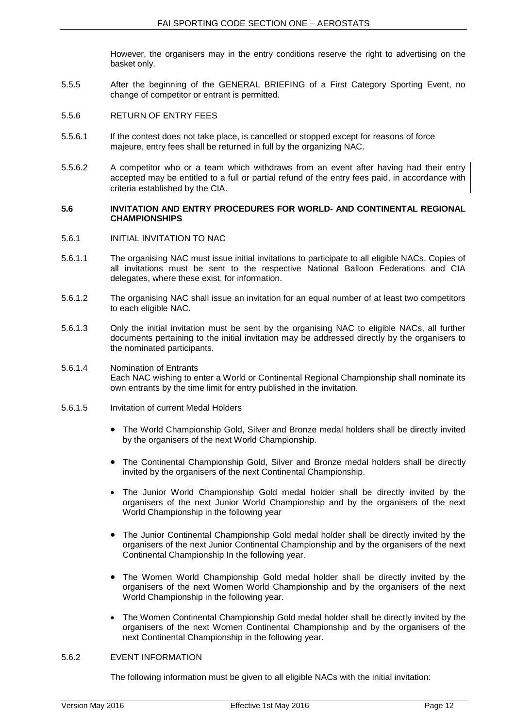However, the organisers may in the entry conditions reserve the right to advertising on the basket only.

- 5.5.5 After the beginning of the GENERAL BRIEFING of a First Category Sporting Event, no change of competitor or entrant is permitted.
- 5.5.6 RETURN OF ENTRY FEES
- 5.5.6.1 If the contest does not take place, is cancelled or stopped except for reasons of force majeure, entry fees shall be returned in full by the organizing NAC.
- 5.5.6.2 A competitor who or a team which withdraws from an event after having had their entry accepted may be entitled to a full or partial refund of the entry fees paid, in accordance with criteria established by the CIA.

#### **5.6 INVITATION AND ENTRY PROCEDURES FOR WORLD- AND CONTINENTAL REGIONAL CHAMPIONSHIPS**

- 5.6.1 INITIAL INVITATION TO NAC
- 5.6.1.1 The organising NAC must issue initial invitations to participate to all eligible NACs. Copies of all invitations must be sent to the respective National Balloon Federations and CIA delegates, where these exist, for information.
- 5.6.1.2 The organising NAC shall issue an invitation for an equal number of at least two competitors to each eligible NAC.
- 5.6.1.3 Only the initial invitation must be sent by the organising NAC to eligible NACs, all further documents pertaining to the initial invitation may be addressed directly by the organisers to the nominated participants.
- 5.6.1.4 Nomination of Entrants Each NAC wishing to enter a World or Continental Regional Championship shall nominate its own entrants by the time limit for entry published in the invitation.
- 5.6.1.5 Invitation of current Medal Holders
	- The World Championship Gold, Silver and Bronze medal holders shall be directly invited by the organisers of the next World Championship.
	- The Continental Championship Gold, Silver and Bronze medal holders shall be directly invited by the organisers of the next Continental Championship.
	- The Junior World Championship Gold medal holder shall be directly invited by the organisers of the next Junior World Championship and by the organisers of the next World Championship in the following year
	- The Junior Continental Championship Gold medal holder shall be directly invited by the organisers of the next Junior Continental Championship and by the organisers of the next Continental Championship In the following year.
	- The Women World Championship Gold medal holder shall be directly invited by the organisers of the next Women World Championship and by the organisers of the next World Championship in the following year.
	- The Women Continental Championship Gold medal holder shall be directly invited by the organisers of the next Women Continental Championship and by the organisers of the next Continental Championship in the following year.

## 5.6.2 EVENT INFORMATION

The following information must be given to all eligible NACs with the initial invitation: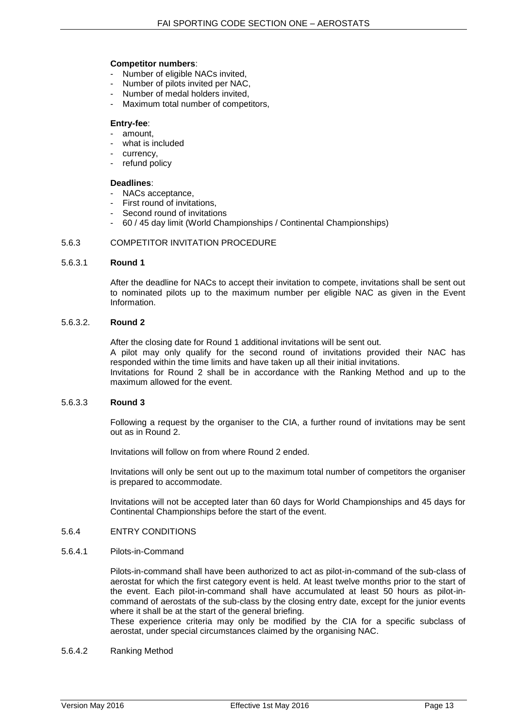#### **Competitor numbers**:

- Number of eligible NACs invited,
- Number of pilots invited per NAC,
- Number of medal holders invited,
- Maximum total number of competitors,

#### **Entry-fee**:

- amount,
- what is included
- currency,
- refund policy

#### **Deadlines**:

- NACs acceptance,
- First round of invitations,
- Second round of invitations
- 60 / 45 day limit (World Championships / Continental Championships)

#### 5.6.3 COMPETITOR INVITATION PROCEDURE

#### 5.6.3.1 **Round 1**

After the deadline for NACs to accept their invitation to compete, invitations shall be sent out to nominated pilots up to the maximum number per eligible NAC as given in the Event Information.

#### 5.6.3.2. **Round 2**

After the closing date for Round 1 additional invitations will be sent out. A pilot may only qualify for the second round of invitations provided their NAC has responded within the time limits and have taken up all their initial invitations. Invitations for Round 2 shall be in accordance with the Ranking Method and up to the maximum allowed for the event.

#### 5.6.3.3 **Round 3**

Following a request by the organiser to the CIA, a further round of invitations may be sent out as in Round 2.

Invitations will follow on from where Round 2 ended.

Invitations will only be sent out up to the maximum total number of competitors the organiser is prepared to accommodate.

Invitations will not be accepted later than 60 days for World Championships and 45 days for Continental Championships before the start of the event.

#### 5.6.4 ENTRY CONDITIONS

#### 5.6.4.1 Pilots-in-Command

Pilots-in-command shall have been authorized to act as pilot-in-command of the sub-class of aerostat for which the first category event is held. At least twelve months prior to the start of the event. Each pilot-in-command shall have accumulated at least 50 hours as pilot-incommand of aerostats of the sub-class by the closing entry date, except for the junior events where it shall be at the start of the general briefing.

These experience criteria may only be modified by the CIA for a specific subclass of aerostat, under special circumstances claimed by the organising NAC.

#### 5.6.4.2 Ranking Method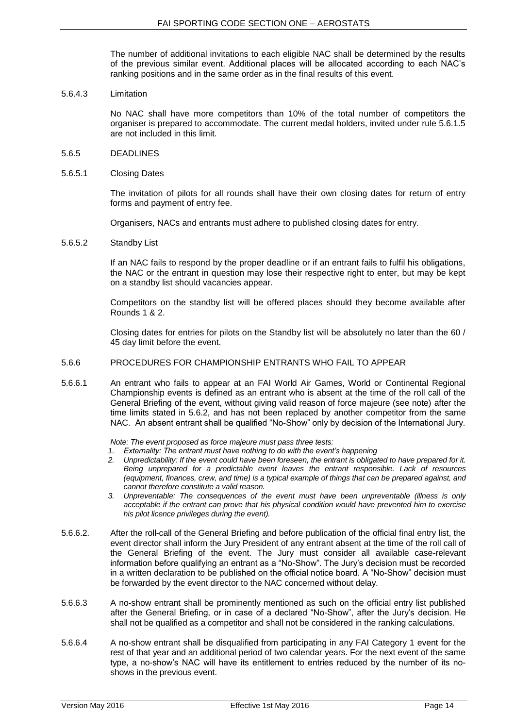The number of additional invitations to each eligible NAC shall be determined by the results of the previous similar event. Additional places will be allocated according to each NAC's ranking positions and in the same order as in the final results of this event.

#### 5.6.4.3 Limitation

No NAC shall have more competitors than 10% of the total number of competitors the organiser is prepared to accommodate. The current medal holders, invited under rule 5.6.1.5 are not included in this limit.

#### 5.6.5 DEADLINES

#### 5.6.5.1 Closing Dates

The invitation of pilots for all rounds shall have their own closing dates for return of entry forms and payment of entry fee.

Organisers, NACs and entrants must adhere to published closing dates for entry.

5.6.5.2 Standby List

If an NAC fails to respond by the proper deadline or if an entrant fails to fulfil his obligations, the NAC or the entrant in question may lose their respective right to enter, but may be kept on a standby list should vacancies appear.

Competitors on the standby list will be offered places should they become available after Rounds 1 & 2.

Closing dates for entries for pilots on the Standby list will be absolutely no later than the 60 / 45 day limit before the event.

#### 5.6.6 PROCEDURES FOR CHAMPIONSHIP ENTRANTS WHO FAIL TO APPEAR

5.6.6.1 An entrant who fails to appear at an FAI World Air Games, World or Continental Regional Championship events is defined as an entrant who is absent at the time of the roll call of the General Briefing of the event, without giving valid reason of force majeure (see note) after the time limits stated in 5.6.2, and has not been replaced by another competitor from the same NAC. An absent entrant shall be qualified "No-Show" only by decision of the International Jury.

*Note: The event proposed as force majeure must pass three tests:*

- *1. Externality: The entrant must have nothing to do with the event's happening*
- *2. Unpredictability: If the event could have been foreseen, the entrant is obligated to have prepared for it. Being unprepared for a predictable event leaves the entrant responsible. Lack of resources (equipment, finances, crew, and time) is a typical example of things that can be prepared against, and cannot therefore constitute a valid reason.*
- *3. Unpreventable: The consequences of the event must have been unpreventable (illness is only acceptable if the entrant can prove that his physical condition would have prevented him to exercise his pilot licence privileges during the event).*
- 5.6.6.2. After the roll-call of the General Briefing and before publication of the official final entry list, the event director shall inform the Jury President of any entrant absent at the time of the roll call of the General Briefing of the event. The Jury must consider all available case-relevant information before qualifying an entrant as a "No-Show". The Jury's decision must be recorded in a written declaration to be published on the official notice board. A "No-Show" decision must be forwarded by the event director to the NAC concerned without delay.
- 5.6.6.3 A no-show entrant shall be prominently mentioned as such on the official entry list published after the General Briefing, or in case of a declared "No-Show", after the Jury's decision. He shall not be qualified as a competitor and shall not be considered in the ranking calculations.
- 5.6.6.4 A no-show entrant shall be disqualified from participating in any FAI Category 1 event for the rest of that year and an additional period of two calendar years. For the next event of the same type, a no-show's NAC will have its entitlement to entries reduced by the number of its noshows in the previous event.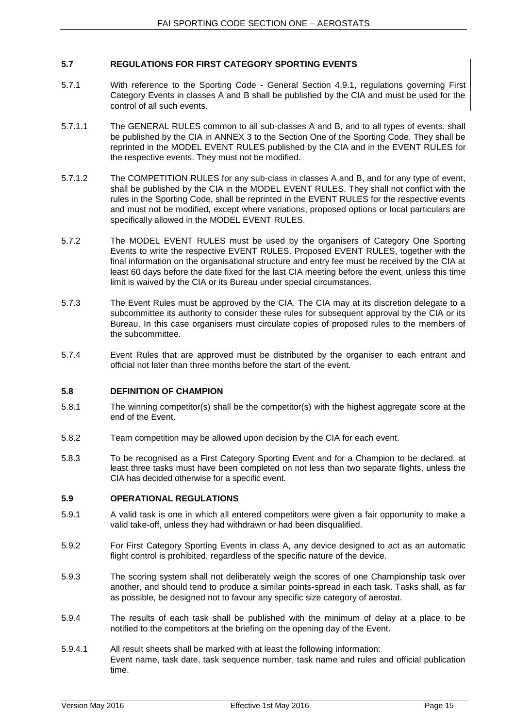## **5.7 REGULATIONS FOR FIRST CATEGORY SPORTING EVENTS**

- 5.7.1 With reference to the Sporting Code General Section 4.9.1, regulations governing First Category Events in classes A and B shall be published by the CIA and must be used for the control of all such events.
- 5.7.1.1 The GENERAL RULES common to all sub-classes A and B, and to all types of events, shall be published by the CIA in ANNEX 3 to the Section One of the Sporting Code. They shall be reprinted in the MODEL EVENT RULES published by the CIA and in the EVENT RULES for the respective events. They must not be modified.
- 5.7.1.2 The COMPETITION RULES for any sub-class in classes A and B, and for any type of event, shall be published by the CIA in the MODEL EVENT RULES. They shall not conflict with the rules in the Sporting Code, shall be reprinted in the EVENT RULES for the respective events and must not be modified, except where variations, proposed options or local particulars are specifically allowed in the MODEL EVENT RULES.
- 5.7.2 The MODEL EVENT RULES must be used by the organisers of Category One Sporting Events to write the respective EVENT RULES. Proposed EVENT RULES, together with the final information on the organisational structure and entry fee must be received by the CIA at least 60 days before the date fixed for the last CIA meeting before the event, unless this time limit is waived by the CIA or its Bureau under special circumstances.
- 5.7.3 The Event Rules must be approved by the CIA. The CIA may at its discretion delegate to a subcommittee its authority to consider these rules for subsequent approval by the CIA or its Bureau. In this case organisers must circulate copies of proposed rules to the members of the subcommittee.
- 5.7.4 Event Rules that are approved must be distributed by the organiser to each entrant and official not later than three months before the start of the event.

#### **5.8 DEFINITION OF CHAMPION**

- 5.8.1 The winning competitor(s) shall be the competitor(s) with the highest aggregate score at the end of the Event.
- 5.8.2 Team competition may be allowed upon decision by the CIA for each event.
- 5.8.3 To be recognised as a First Category Sporting Event and for a Champion to be declared, at least three tasks must have been completed on not less than two separate flights, unless the CIA has decided otherwise for a specific event.

#### **5.9 OPERATIONAL REGULATIONS**

- 5.9.1 A valid task is one in which all entered competitors were given a fair opportunity to make a valid take-off, unless they had withdrawn or had been disqualified.
- 5.9.2 For First Category Sporting Events in class A, any device designed to act as an automatic flight control is prohibited, regardless of the specific nature of the device.
- 5.9.3 The scoring system shall not deliberately weigh the scores of one Championship task over another, and should tend to produce a similar points-spread in each task. Tasks shall, as far as possible, be designed not to favour any specific size category of aerostat.
- 5.9.4 The results of each task shall be published with the minimum of delay at a place to be notified to the competitors at the briefing on the opening day of the Event.
- 5.9.4.1 All result sheets shall be marked with at least the following information: Event name, task date, task sequence number, task name and rules and official publication time.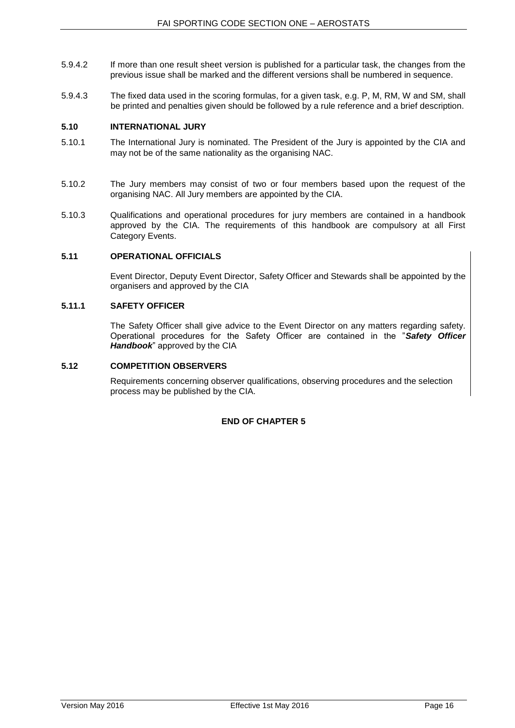- 5.9.4.2 If more than one result sheet version is published for a particular task, the changes from the previous issue shall be marked and the different versions shall be numbered in sequence.
- 5.9.4.3 The fixed data used in the scoring formulas, for a given task, e.g. P, M, RM, W and SM, shall be printed and penalties given should be followed by a rule reference and a brief description.

#### **5.10 INTERNATIONAL JURY**

- 5.10.1 The International Jury is nominated. The President of the Jury is appointed by the CIA and may not be of the same nationality as the organising NAC.
- 5.10.2 The Jury members may consist of two or four members based upon the request of the organising NAC. All Jury members are appointed by the CIA.
- 5.10.3 Qualifications and operational procedures for jury members are contained in a handbook approved by the CIA. The requirements of this handbook are compulsory at all First Category Events.

#### **5.11 OPERATIONAL OFFICIALS**

Event Director, Deputy Event Director, Safety Officer and Stewards shall be appointed by the organisers and approved by the CIA

#### **5.11.1 SAFETY OFFICER**

The Safety Officer shall give advice to the Event Director on any matters regarding safety. Operational procedures for the Safety Officer are contained in the "*Safety Officer Handbook*" approved by the CIA

#### **5.12 COMPETITION OBSERVERS**

Requirements concerning observer qualifications, observing procedures and the selection process may be published by the CIA.

### **END OF CHAPTER 5**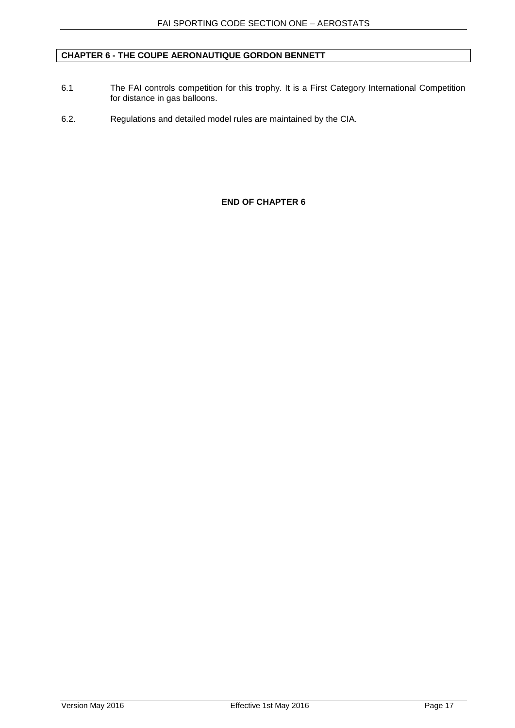## **CHAPTER 6 - THE COUPE AERONAUTIQUE GORDON BENNETT**

- 6.1 The FAI controls competition for this trophy. It is a First Category International Competition for distance in gas balloons.
- 6.2. Regulations and detailed model rules are maintained by the CIA.

**END OF CHAPTER 6**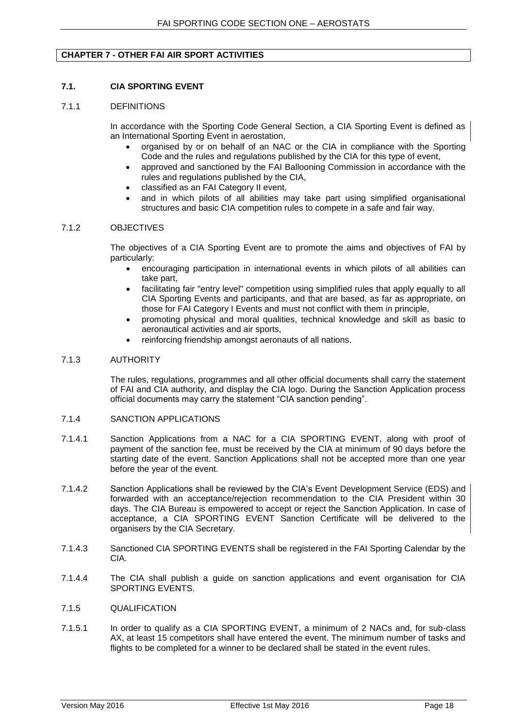### **CHAPTER 7 - OTHER FAI AIR SPORT ACTIVITIES**

#### **7.1. CIA SPORTING EVENT**

#### 7.1.1 DEFINITIONS

In accordance with the Sporting Code General Section, a CIA Sporting Event is defined as an International Sporting Event in aerostation,

- organised by or on behalf of an NAC or the CIA in compliance with the Sporting Code and the rules and regulations published by the CIA for this type of event,
- approved and sanctioned by the FAI Ballooning Commission in accordance with the rules and regulations published by the CIA,
- classified as an FAI Category II event,
- and in which pilots of all abilities may take part using simplified organisational structures and basic CIA competition rules to compete in a safe and fair way.

#### 7.1.2 OBJECTIVES

The objectives of a CIA Sporting Event are to promote the aims and objectives of FAI by particularly:

- encouraging participation in international events in which pilots of all abilities can take part,
- facilitating fair "entry level" competition using simplified rules that apply equally to all CIA Sporting Events and participants, and that are based, as far as appropriate, on those for FAI Category I Events and must not conflict with them in principle,
- promoting physical and moral qualities, technical knowledge and skill as basic to aeronautical activities and air sports,
- reinforcing friendship amongst aeronauts of all nations.

#### 7.1.3 AUTHORITY

The rules, regulations, programmes and all other official documents shall carry the statement of FAI and CIA authority, and display the CIA logo. During the Sanction Application process official documents may carry the statement "CIA sanction pending".

#### 7.1.4 SANCTION APPLICATIONS

- 7.1.4.1 Sanction Applications from a NAC for a CIA SPORTING EVENT, along with proof of payment of the sanction fee, must be received by the CIA at minimum of 90 days before the starting date of the event. Sanction Applications shall not be accepted more than one year before the year of the event.
- 7.1.4.2 Sanction Applications shall be reviewed by the CIA's Event Development Service (EDS) and forwarded with an acceptance/rejection recommendation to the CIA President within 30 days. The CIA Bureau is empowered to accept or reject the Sanction Application. In case of acceptance, a CIA SPORTING EVENT Sanction Certificate will be delivered to the organisers by the CIA Secretary.
- 7.1.4.3 Sanctioned CIA SPORTING EVENTS shall be registered in the FAI Sporting Calendar by the CIA.
- 7.1.4.4 The CIA shall publish a guide on sanction applications and event organisation for CIA SPORTING EVENTS.
- 7.1.5 QUALIFICATION
- 7.1.5.1 In order to qualify as a CIA SPORTING EVENT, a minimum of 2 NACs and, for sub-class AX, at least 15 competitors shall have entered the event. The minimum number of tasks and flights to be completed for a winner to be declared shall be stated in the event rules.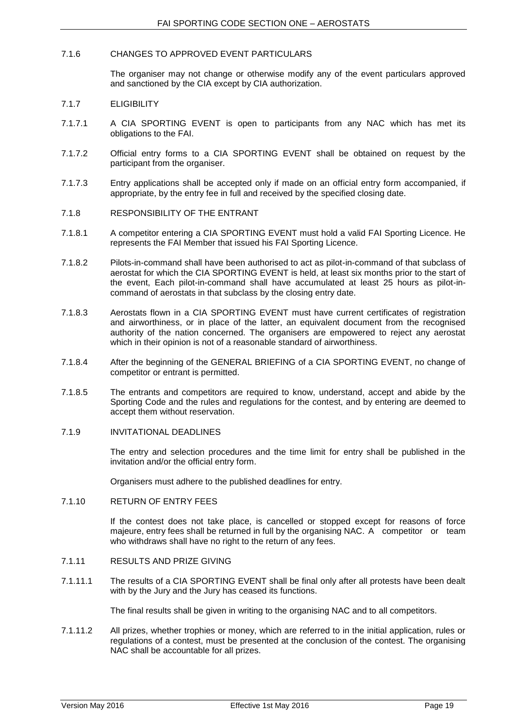#### 7.1.6 CHANGES TO APPROVED EVENT PARTICULARS

The organiser may not change or otherwise modify any of the event particulars approved and sanctioned by the CIA except by CIA authorization.

- 7.1.7 ELIGIBILITY
- 7.1.7.1 A CIA SPORTING EVENT is open to participants from any NAC which has met its obligations to the FAI.
- 7.1.7.2 Official entry forms to a CIA SPORTING EVENT shall be obtained on request by the participant from the organiser.
- 7.1.7.3 Entry applications shall be accepted only if made on an official entry form accompanied, if appropriate, by the entry fee in full and received by the specified closing date.
- 7.1.8 RESPONSIBILITY OF THE ENTRANT
- 7.1.8.1 A competitor entering a CIA SPORTING EVENT must hold a valid FAI Sporting Licence. He represents the FAI Member that issued his FAI Sporting Licence.
- 7.1.8.2 Pilots-in-command shall have been authorised to act as pilot-in-command of that subclass of aerostat for which the CIA SPORTING EVENT is held, at least six months prior to the start of the event, Each pilot-in-command shall have accumulated at least 25 hours as pilot-incommand of aerostats in that subclass by the closing entry date.
- 7.1.8.3 Aerostats flown in a CIA SPORTING EVENT must have current certificates of registration and airworthiness, or in place of the latter, an equivalent document from the recognised authority of the nation concerned. The organisers are empowered to reject any aerostat which in their opinion is not of a reasonable standard of airworthiness.
- 7.1.8.4 After the beginning of the GENERAL BRIEFING of a CIA SPORTING EVENT, no change of competitor or entrant is permitted.
- 7.1.8.5 The entrants and competitors are required to know, understand, accept and abide by the Sporting Code and the rules and regulations for the contest, and by entering are deemed to accept them without reservation.

#### 7.1.9 INVITATIONAL DEADLINES

The entry and selection procedures and the time limit for entry shall be published in the invitation and/or the official entry form.

Organisers must adhere to the published deadlines for entry.

#### 7.1.10 RETURN OF ENTRY FEES

If the contest does not take place, is cancelled or stopped except for reasons of force majeure, entry fees shall be returned in full by the organising NAC. A competitor or team who withdraws shall have no right to the return of any fees.

#### 7.1.11 RESULTS AND PRIZE GIVING

7.1.11.1 The results of a CIA SPORTING EVENT shall be final only after all protests have been dealt with by the Jury and the Jury has ceased its functions.

The final results shall be given in writing to the organising NAC and to all competitors.

7.1.11.2 All prizes, whether trophies or money, which are referred to in the initial application, rules or regulations of a contest, must be presented at the conclusion of the contest. The organising NAC shall be accountable for all prizes.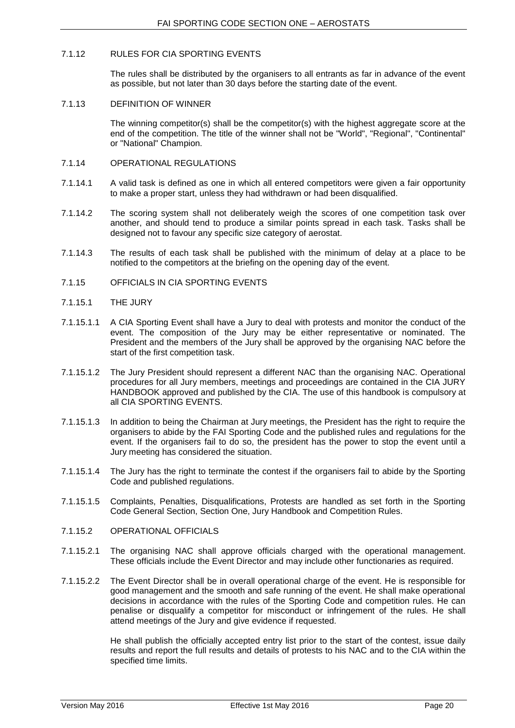#### 7.1.12 RULES FOR CIA SPORTING EVENTS

The rules shall be distributed by the organisers to all entrants as far in advance of the event as possible, but not later than 30 days before the starting date of the event.

#### 7.1.13 DEFINITION OF WINNER

The winning competitor(s) shall be the competitor(s) with the highest aggregate score at the end of the competition. The title of the winner shall not be "World", "Regional", "Continental" or "National" Champion.

#### 7.1.14 OPERATIONAL REGULATIONS

- 7.1.14.1 A valid task is defined as one in which all entered competitors were given a fair opportunity to make a proper start, unless they had withdrawn or had been disqualified.
- 7.1.14.2 The scoring system shall not deliberately weigh the scores of one competition task over another, and should tend to produce a similar points spread in each task. Tasks shall be designed not to favour any specific size category of aerostat.
- 7.1.14.3 The results of each task shall be published with the minimum of delay at a place to be notified to the competitors at the briefing on the opening day of the event.
- 7.1.15 OFFICIALS IN CIA SPORTING EVENTS
- 7.1.15.1 THE JURY
- 7.1.15.1.1 A CIA Sporting Event shall have a Jury to deal with protests and monitor the conduct of the event. The composition of the Jury may be either representative or nominated. The President and the members of the Jury shall be approved by the organising NAC before the start of the first competition task.
- 7.1.15.1.2 The Jury President should represent a different NAC than the organising NAC. Operational procedures for all Jury members, meetings and proceedings are contained in the CIA JURY HANDBOOK approved and published by the CIA. The use of this handbook is compulsory at all CIA SPORTING EVENTS.
- 7.1.15.1.3 In addition to being the Chairman at Jury meetings, the President has the right to require the organisers to abide by the FAI Sporting Code and the published rules and regulations for the event. If the organisers fail to do so, the president has the power to stop the event until a Jury meeting has considered the situation.
- 7.1.15.1.4 The Jury has the right to terminate the contest if the organisers fail to abide by the Sporting Code and published regulations.
- 7.1.15.1.5 Complaints, Penalties, Disqualifications, Protests are handled as set forth in the Sporting Code General Section, Section One, Jury Handbook and Competition Rules.
- 7.1.15.2 OPERATIONAL OFFICIALS
- 7.1.15.2.1 The organising NAC shall approve officials charged with the operational management. These officials include the Event Director and may include other functionaries as required.
- 7.1.15.2.2 The Event Director shall be in overall operational charge of the event. He is responsible for good management and the smooth and safe running of the event. He shall make operational decisions in accordance with the rules of the Sporting Code and competition rules. He can penalise or disqualify a competitor for misconduct or infringement of the rules. He shall attend meetings of the Jury and give evidence if requested.

He shall publish the officially accepted entry list prior to the start of the contest, issue daily results and report the full results and details of protests to his NAC and to the CIA within the specified time limits.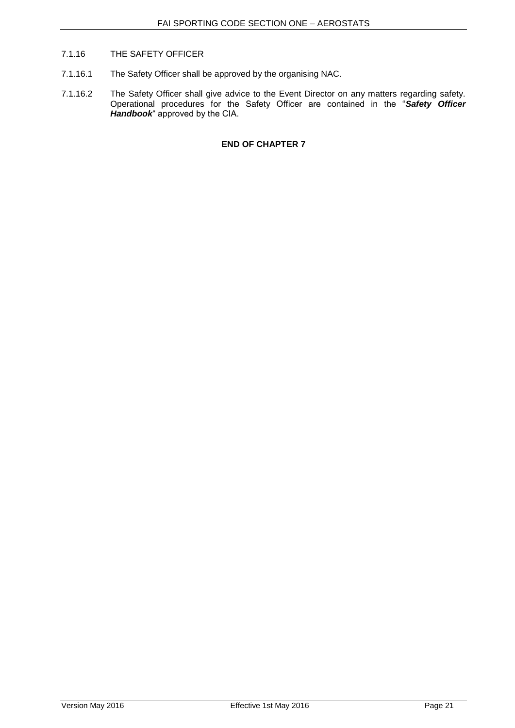## 7.1.16 THE SAFETY OFFICER

- 7.1.16.1 The Safety Officer shall be approved by the organising NAC.
- 7.1.16.2 The Safety Officer shall give advice to the Event Director on any matters regarding safety. Operational procedures for the Safety Officer are contained in the "*Safety Officer Handbook*" approved by the CIA.

#### **END OF CHAPTER 7**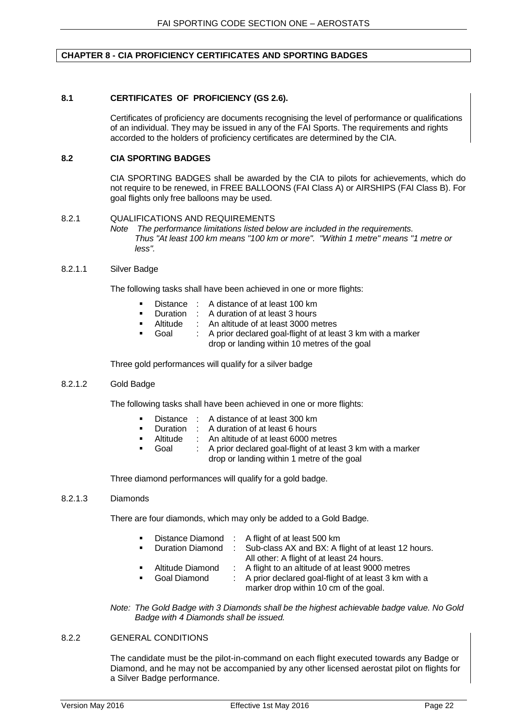#### **CHAPTER 8 - CIA PROFICIENCY CERTIFICATES AND SPORTING BADGES**

#### **8.1 CERTIFICATES OF PROFICIENCY (GS 2.6).**

Certificates of proficiency are documents recognising the level of performance or qualifications of an individual. They may be issued in any of the FAI Sports. The requirements and rights accorded to the holders of proficiency certificates are determined by the CIA.

#### **8.2 CIA SPORTING BADGES**

CIA SPORTING BADGES shall be awarded by the CIA to pilots for achievements, which do not require to be renewed, in FREE BALLOONS (FAI Class A) or AIRSHIPS (FAI Class B). For goal flights only free balloons may be used.

#### 8.2.1 QUALIFICATIONS AND REQUIREMENTS *Note The performance limitations listed below are included in the requirements. Thus "At least 100 km means "100 km or more". "Within 1 metre" means "1 metre or less".*

#### 8.2.1.1 Silver Badge

The following tasks shall have been achieved in one or more flights:

- Distance : A distance of at least 100 km
- Duration : A duration of at least 3 hours
- Altitude : An altitude of at least 3000 metres
	- Goal : A prior declared goal-flight of at least 3 km with a marker drop or landing within 10 metres of the goal

Three gold performances will qualify for a silver badge

#### 8.2.1.2 Gold Badge

The following tasks shall have been achieved in one or more flights:

- Distance : A distance of at least 300 km
- Duration : A duration of at least 6 hours
- Altitude : An altitude of at least 6000 metres
- Goal : A prior declared goal-flight of at least 3 km with a marker drop or landing within 1 metre of the goal

Three diamond performances will qualify for a gold badge.

#### 8.2.1.3 Diamonds

There are four diamonds, which may only be added to a Gold Badge.

- Distance Diamond : A flight of at least 500 km
- **Duration Diamond : Sub-class AX and BX: A flight of at least 12 hours.** All other: A flight of at least 24 hours.
	- Altitude Diamond : A flight to an altitude of at least 9000 metres
	- Goal Diamond : A prior declared goal-flight of at least 3 km with a marker drop within 10 cm of the goal.

*Note: The Gold Badge with 3 Diamonds shall be the highest achievable badge value. No Gold Badge with 4 Diamonds shall be issued.*

#### 8.2.2 GENERAL CONDITIONS

The candidate must be the pilot-in-command on each flight executed towards any Badge or Diamond, and he may not be accompanied by any other licensed aerostat pilot on flights for a Silver Badge performance.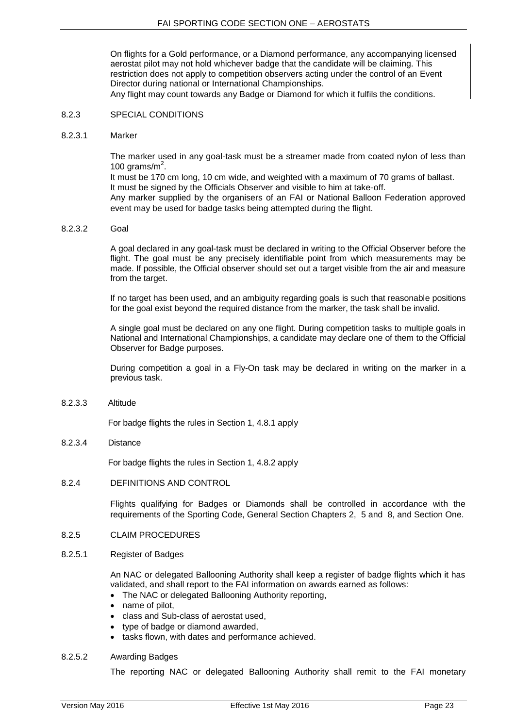On flights for a Gold performance, or a Diamond performance, any accompanying licensed aerostat pilot may not hold whichever badge that the candidate will be claiming. This restriction does not apply to competition observers acting under the control of an Event Director during national or International Championships.

Any flight may count towards any Badge or Diamond for which it fulfils the conditions.

#### 8.2.3 SPECIAL CONDITIONS

#### 8.2.3.1 Marker

The marker used in any goal-task must be a streamer made from coated nylon of less than 100 grams/ $m^2$ .

It must be 170 cm long, 10 cm wide, and weighted with a maximum of 70 grams of ballast.

It must be signed by the Officials Observer and visible to him at take-off.

Any marker supplied by the organisers of an FAI or National Balloon Federation approved event may be used for badge tasks being attempted during the flight.

#### 8.2.3.2 Goal

A goal declared in any goal-task must be declared in writing to the Official Observer before the flight. The goal must be any precisely identifiable point from which measurements may be made. If possible, the Official observer should set out a target visible from the air and measure from the target.

If no target has been used, and an ambiguity regarding goals is such that reasonable positions for the goal exist beyond the required distance from the marker, the task shall be invalid.

A single goal must be declared on any one flight. During competition tasks to multiple goals in National and International Championships, a candidate may declare one of them to the Official Observer for Badge purposes.

During competition a goal in a Fly-On task may be declared in writing on the marker in a previous task.

#### 8.2.3.3 Altitude

For badge flights the rules in Section 1, 4.8.1 apply

#### 8.2.3.4 Distance

For badge flights the rules in Section 1, 4.8.2 apply

#### 8.2.4 DEFINITIONS AND CONTROL

Flights qualifying for Badges or Diamonds shall be controlled in accordance with the requirements of the Sporting Code, General Section Chapters 2, 5 and 8, and Section One.

#### 8.2.5 CLAIM PROCEDURES

#### 8.2.5.1 Register of Badges

An NAC or delegated Ballooning Authority shall keep a register of badge flights which it has validated, and shall report to the FAI information on awards earned as follows:

- The NAC or delegated Ballooning Authority reporting,
- name of pilot,
- class and Sub-class of aerostat used,
- type of badge or diamond awarded,
- tasks flown, with dates and performance achieved.

#### 8.2.5.2 Awarding Badges

The reporting NAC or delegated Ballooning Authority shall remit to the FAI monetary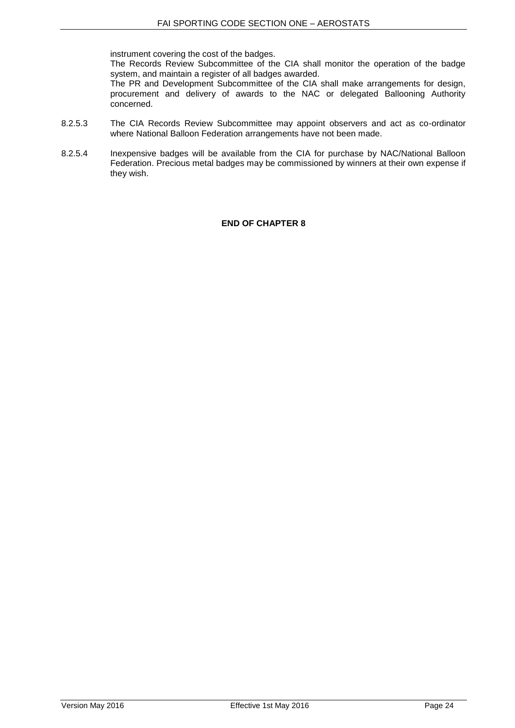instrument covering the cost of the badges.

The Records Review Subcommittee of the CIA shall monitor the operation of the badge system, and maintain a register of all badges awarded.

The PR and Development Subcommittee of the CIA shall make arrangements for design, procurement and delivery of awards to the NAC or delegated Ballooning Authority concerned.

- 8.2.5.3 The CIA Records Review Subcommittee may appoint observers and act as co-ordinator where National Balloon Federation arrangements have not been made.
- 8.2.5.4 Inexpensive badges will be available from the CIA for purchase by NAC/National Balloon Federation. Precious metal badges may be commissioned by winners at their own expense if they wish.

## **END OF CHAPTER 8**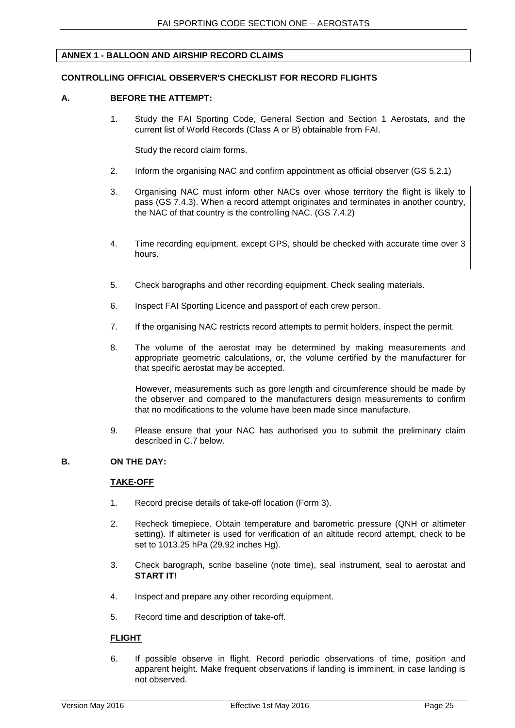#### **ANNEX 1 - BALLOON AND AIRSHIP RECORD CLAIMS**

#### **CONTROLLING OFFICIAL OBSERVER'S CHECKLIST FOR RECORD FLIGHTS**

#### **A. BEFORE THE ATTEMPT:**

1. Study the FAI Sporting Code, General Section and Section 1 Aerostats, and the current list of World Records (Class A or B) obtainable from FAI.

Study the record claim forms.

- 2. Inform the organising NAC and confirm appointment as official observer (GS 5.2.1)
- 3. Organising NAC must inform other NACs over whose territory the flight is likely to pass (GS 7.4.3). When a record attempt originates and terminates in another country, the NAC of that country is the controlling NAC. (GS 7.4.2)
- 4. Time recording equipment, except GPS, should be checked with accurate time over 3 hours.
- 5. Check barographs and other recording equipment. Check sealing materials.
- 6. Inspect FAI Sporting Licence and passport of each crew person.
- 7. If the organising NAC restricts record attempts to permit holders, inspect the permit.
- 8. The volume of the aerostat may be determined by making measurements and appropriate geometric calculations, or, the volume certified by the manufacturer for that specific aerostat may be accepted.

However, measurements such as gore length and circumference should be made by the observer and compared to the manufacturers design measurements to confirm that no modifications to the volume have been made since manufacture.

9. Please ensure that your NAC has authorised you to submit the preliminary claim described in C.7 below.

## **B. ON THE DAY:**

#### **TAKE-OFF**

- 1. Record precise details of take-off location (Form 3).
- 2. Recheck timepiece. Obtain temperature and barometric pressure (QNH or altimeter setting). If altimeter is used for verification of an altitude record attempt, check to be set to 1013.25 hPa (29.92 inches Hg).
- 3. Check barograph, scribe baseline (note time), seal instrument, seal to aerostat and **START IT!**
- 4. Inspect and prepare any other recording equipment.
- 5. Record time and description of take-off.

#### **FLIGHT**

6. If possible observe in flight. Record periodic observations of time, position and apparent height. Make frequent observations if landing is imminent, in case landing is not observed.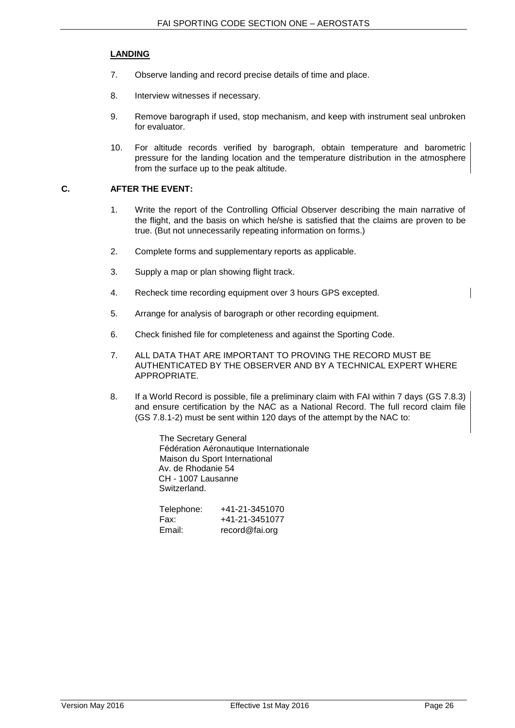#### **LANDING**

- 7. Observe landing and record precise details of time and place.
- 8. Interview witnesses if necessary.
- 9. Remove barograph if used, stop mechanism, and keep with instrument seal unbroken for evaluator.
- 10. For altitude records verified by barograph, obtain temperature and barometric pressure for the landing location and the temperature distribution in the atmosphere from the surface up to the peak altitude.

## **C. AFTER THE EVENT:**

- 1. Write the report of the Controlling Official Observer describing the main narrative of the flight, and the basis on which he/she is satisfied that the claims are proven to be true. (But not unnecessarily repeating information on forms.)
- 2. Complete forms and supplementary reports as applicable.
- 3. Supply a map or plan showing flight track.
- 4. Recheck time recording equipment over 3 hours GPS excepted.
- 5. Arrange for analysis of barograph or other recording equipment.
- 6. Check finished file for completeness and against the Sporting Code.
- 7. ALL DATA THAT ARE IMPORTANT TO PROVING THE RECORD MUST BE AUTHENTICATED BY THE OBSERVER AND BY A TECHNICAL EXPERT WHERE APPROPRIATE.
- 8. If a World Record is possible, file a preliminary claim with FAI within 7 days (GS 7.8.3) and ensure certification by the NAC as a National Record. The full record claim file (GS 7.8.1-2) must be sent within 120 days of the attempt by the NAC to:

The Secretary General Fédération Aéronautique Internationale Maison du Sport International Av. de Rhodanie 54 CH - 1007 Lausanne Switzerland.

| Telephone: | +41-21-3451070 |
|------------|----------------|
| Fax:       | +41-21-3451077 |
| Email:     | record@fai.org |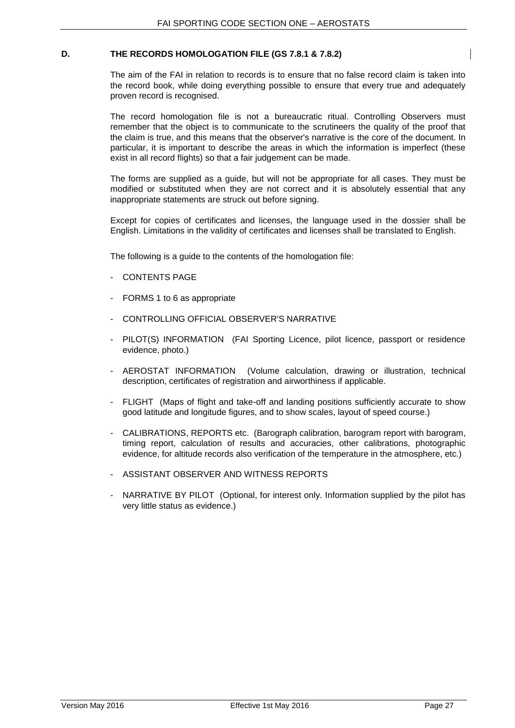#### **D. THE RECORDS HOMOLOGATION FILE (GS 7.8.1 & 7.8.2)**

The aim of the FAI in relation to records is to ensure that no false record claim is taken into the record book, while doing everything possible to ensure that every true and adequately proven record is recognised.

The record homologation file is not a bureaucratic ritual. Controlling Observers must remember that the object is to communicate to the scrutineers the quality of the proof that the claim is true, and this means that the observer's narrative is the core of the document. In particular, it is important to describe the areas in which the information is imperfect (these exist in all record flights) so that a fair judgement can be made.

The forms are supplied as a guide, but will not be appropriate for all cases. They must be modified or substituted when they are not correct and it is absolutely essential that any inappropriate statements are struck out before signing.

Except for copies of certificates and licenses, the language used in the dossier shall be English. Limitations in the validity of certificates and licenses shall be translated to English.

The following is a guide to the contents of the homologation file:

- CONTENTS PAGE
- FORMS 1 to 6 as appropriate
- CONTROLLING OFFICIAL OBSERVER'S NARRATIVE
- PILOT(S) INFORMATION (FAI Sporting Licence, pilot licence, passport or residence evidence, photo.)
- AEROSTAT INFORMATION (Volume calculation, drawing or illustration, technical description, certificates of registration and airworthiness if applicable.
- FLIGHT (Maps of flight and take-off and landing positions sufficiently accurate to show good latitude and longitude figures, and to show scales, layout of speed course.)
- CALIBRATIONS, REPORTS etc. (Barograph calibration, barogram report with barogram, timing report, calculation of results and accuracies, other calibrations, photographic evidence, for altitude records also verification of the temperature in the atmosphere, etc.)
- ASSISTANT OBSERVER AND WITNESS REPORTS
- NARRATIVE BY PILOT (Optional, for interest only. Information supplied by the pilot has very little status as evidence.)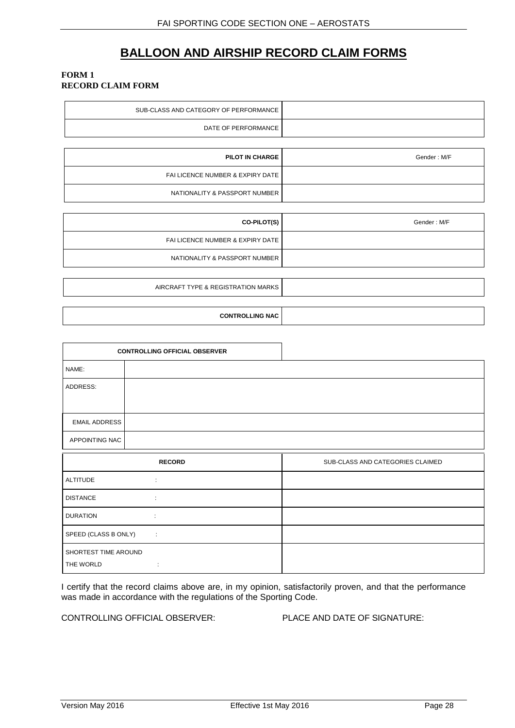## **BALLOON AND AIRSHIP RECORD CLAIM FORMS**

#### **FORM 1 RECORD CLAIM FORM**

|             | SUB-CLASS AND CATEGORY OF PERFORMANCE |
|-------------|---------------------------------------|
|             | DATE OF PERFORMANCE                   |
|             |                                       |
| Gender: M/F | PILOT IN CHARGE                       |
|             | FAI LICENCE NUMBER & EXPIRY DATE      |
|             | NATIONALITY & PASSPORT NUMBER         |
|             |                                       |
| Gender: M/F | CO-PILOT(S)                           |
|             | FAI LICENCE NUMBER & EXPIRY DATE      |
|             | NATIONALITY & PASSPORT NUMBER         |

AIRCRAFT TYPE & REGISTRATION MARKS

**CONTROLLING NAC**

|                      | <b>CONTROLLING OFFICIAL OBSERVER</b> |  |
|----------------------|--------------------------------------|--|
| NAME:                |                                      |  |
| ADDRESS:             |                                      |  |
|                      |                                      |  |
| <b>EMAIL ADDRESS</b> |                                      |  |
| APPOINTING NAC       |                                      |  |

|                      | <b>RECORD</b> | SUB-CLASS AND CATEGORIES CLAIMED |
|----------------------|---------------|----------------------------------|
| <b>ALTITUDE</b>      | ÷             |                                  |
| <b>DISTANCE</b>      | $\cdot$       |                                  |
| <b>DURATION</b>      | ÷             |                                  |
| SPEED (CLASS B ONLY) | $\sim$ 10     |                                  |
| SHORTEST TIME AROUND |               |                                  |
| THE WORLD            |               |                                  |

I certify that the record claims above are, in my opinion, satisfactorily proven, and that the performance was made in accordance with the regulations of the Sporting Code.

CONTROLLING OFFICIAL OBSERVER: PLACE AND DATE OF SIGNATURE: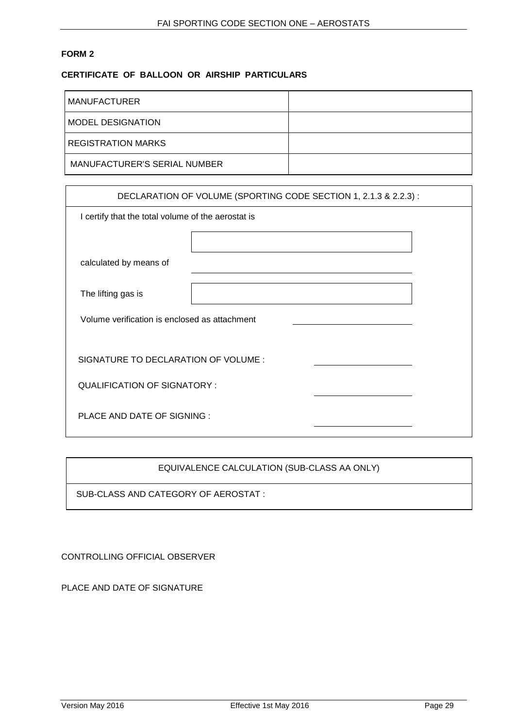## **CERTIFICATE OF BALLOON OR AIRSHIP PARTICULARS**

| I MANUFACTURER               |  |
|------------------------------|--|
| MODEL DESIGNATION            |  |
| <b>REGISTRATION MARKS</b>    |  |
| MANUFACTURER'S SERIAL NUMBER |  |

| DECLARATION OF VOLUME (SPORTING CODE SECTION 1, 2.1.3 & 2.2.3) : |  |  |
|------------------------------------------------------------------|--|--|
| I certify that the total volume of the aerostat is               |  |  |
|                                                                  |  |  |
| calculated by means of                                           |  |  |
| The lifting gas is                                               |  |  |
| Volume verification is enclosed as attachment                    |  |  |
|                                                                  |  |  |
| SIGNATURE TO DECLARATION OF VOLUME :                             |  |  |
| <b>QUALIFICATION OF SIGNATORY:</b>                               |  |  |
| PLACE AND DATE OF SIGNING :                                      |  |  |

## EQUIVALENCE CALCULATION (SUB-CLASS AA ONLY)

## SUB-CLASS AND CATEGORY OF AEROSTAT :

## CONTROLLING OFFICIAL OBSERVER

PLACE AND DATE OF SIGNATURE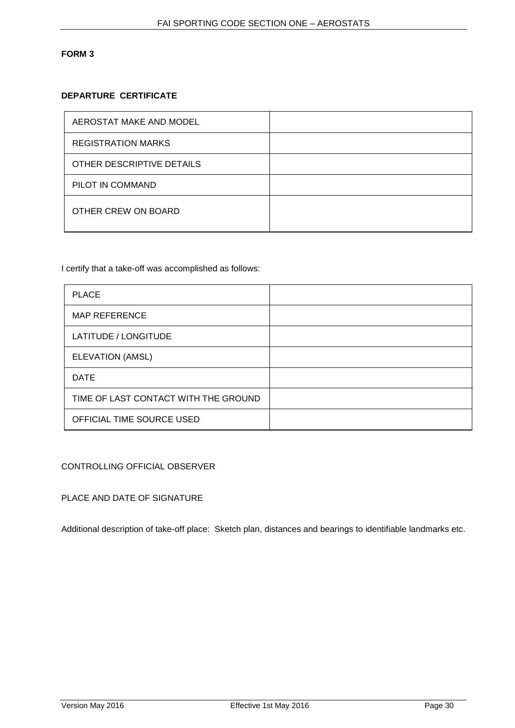## **DEPARTURE CERTIFICATE**

| AEROSTAT MAKE AND MODEL   |  |
|---------------------------|--|
| <b>REGISTRATION MARKS</b> |  |
| OTHER DESCRIPTIVE DETAILS |  |
| PILOT IN COMMAND          |  |
| OTHER CREW ON BOARD       |  |

I certify that a take-off was accomplished as follows:

| <b>PLACE</b>                         |  |
|--------------------------------------|--|
| <b>MAP REFERENCE</b>                 |  |
| LATITUDE / LONGITUDE                 |  |
| ELEVATION (AMSL)                     |  |
| <b>DATE</b>                          |  |
| TIME OF LAST CONTACT WITH THE GROUND |  |
| OFFICIAL TIME SOURCE USED            |  |

CONTROLLING OFFICIAL OBSERVER

PLACE AND DATE OF SIGNATURE

Additional description of take-off place: Sketch plan, distances and bearings to identifiable landmarks etc.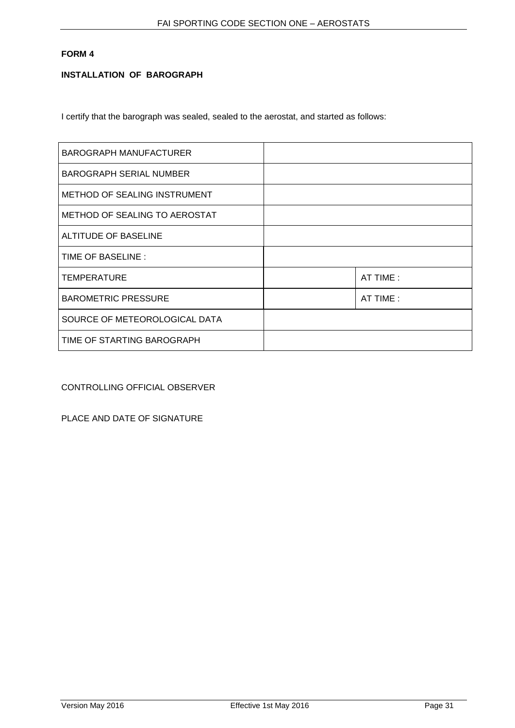## **INSTALLATION OF BAROGRAPH**

I certify that the barograph was sealed, sealed to the aerostat, and started as follows:

| <b>BAROGRAPH MANUFACTURER</b>        |          |
|--------------------------------------|----------|
| <b>BAROGRAPH SERIAL NUMBER</b>       |          |
| <b>METHOD OF SEALING INSTRUMENT</b>  |          |
| <b>METHOD OF SEALING TO AEROSTAT</b> |          |
| <b>ALTITUDE OF BASELINE</b>          |          |
| TIME OF BASELINE :                   |          |
| <b>TEMPERATURE</b>                   | AT TIME: |
| <b>BAROMETRIC PRESSURE</b>           | AT TIME: |
| SOURCE OF METEOROLOGICAL DATA        |          |
| TIME OF STARTING BAROGRAPH           |          |

CONTROLLING OFFICIAL OBSERVER

PLACE AND DATE OF SIGNATURE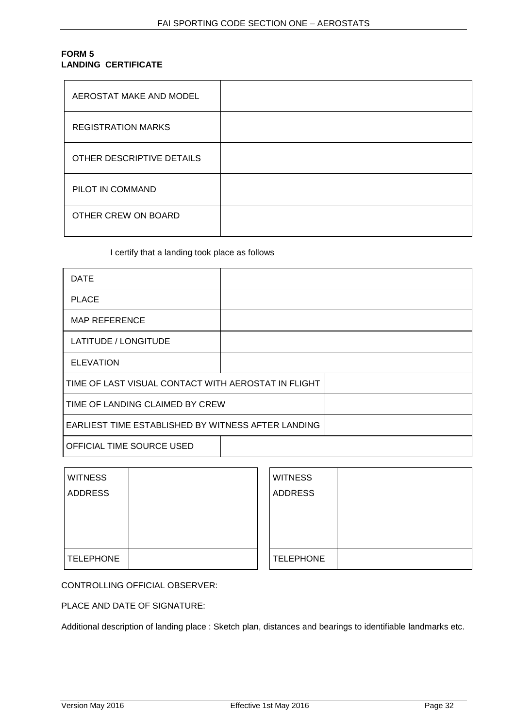#### **FORM 5 LANDING CERTIFICATE**

| AEROSTAT MAKE AND MODEL   |  |
|---------------------------|--|
| <b>REGISTRATION MARKS</b> |  |
| OTHER DESCRIPTIVE DETAILS |  |
| PILOT IN COMMAND          |  |
| OTHER CREW ON BOARD       |  |

## I certify that a landing took place as follows

| <b>DATE</b>                                         |  |
|-----------------------------------------------------|--|
| <b>PLACE</b>                                        |  |
| <b>MAP REFERENCE</b>                                |  |
| LATITUDE / LONGITUDE                                |  |
| <b>ELEVATION</b>                                    |  |
| TIME OF LAST VISUAL CONTACT WITH AEROSTAT IN FLIGHT |  |
| TIME OF LANDING CLAIMED BY CREW                     |  |
| EARLIEST TIME ESTABLISHED BY WITNESS AFTER LANDING  |  |
| OFFICIAL TIME SOURCE USED                           |  |

| <b>WITNESS</b>   |  | <b>WITNESS</b>   |
|------------------|--|------------------|
| <b>ADDRESS</b>   |  | <b>ADDRESS</b>   |
|                  |  |                  |
|                  |  |                  |
| <b>TELEPHONE</b> |  | <b>TELEPHONE</b> |

| <b>WITNESS</b>   |  |
|------------------|--|
| <b>ADDRESS</b>   |  |
|                  |  |
|                  |  |
| <b>TELEPHONE</b> |  |

CONTROLLING OFFICIAL OBSERVER:

PLACE AND DATE OF SIGNATURE:

Additional description of landing place : Sketch plan, distances and bearings to identifiable landmarks etc.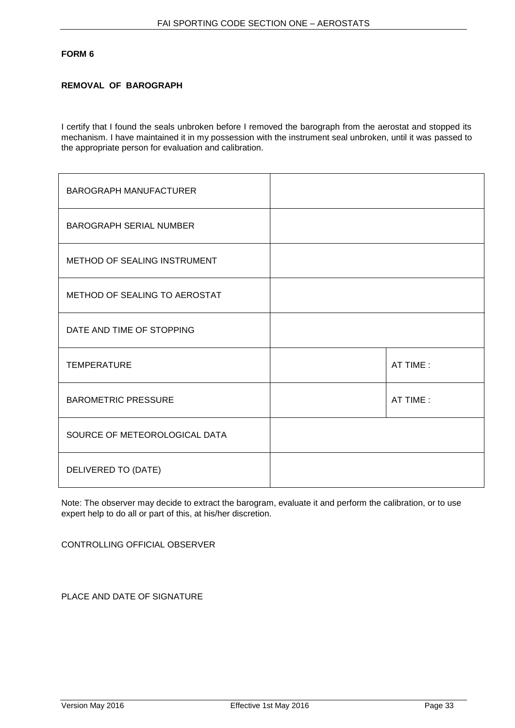#### **REMOVAL OF BAROGRAPH**

I certify that I found the seals unbroken before I removed the barograph from the aerostat and stopped its mechanism. I have maintained it in my possession with the instrument seal unbroken, until it was passed to the appropriate person for evaluation and calibration.

| <b>BAROGRAPH MANUFACTURER</b>  |          |
|--------------------------------|----------|
| <b>BAROGRAPH SERIAL NUMBER</b> |          |
| METHOD OF SEALING INSTRUMENT   |          |
| METHOD OF SEALING TO AEROSTAT  |          |
| DATE AND TIME OF STOPPING      |          |
| <b>TEMPERATURE</b>             | AT TIME: |
| <b>BAROMETRIC PRESSURE</b>     | AT TIME: |
| SOURCE OF METEOROLOGICAL DATA  |          |
| DELIVERED TO (DATE)            |          |

Note: The observer may decide to extract the barogram, evaluate it and perform the calibration, or to use expert help to do all or part of this, at his/her discretion.

CONTROLLING OFFICIAL OBSERVER

PLACE AND DATE OF SIGNATURE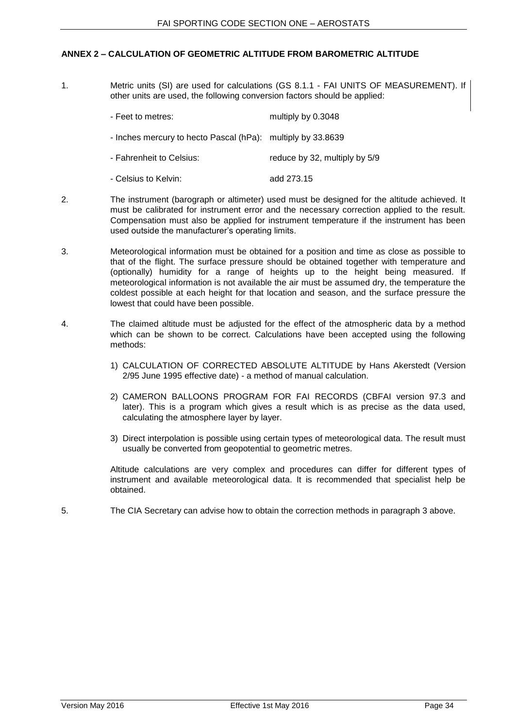#### **ANNEX 2 – CALCULATION OF GEOMETRIC ALTITUDE FROM BAROMETRIC ALTITUDE**

1. Metric units (SI) are used for calculations (GS 8.1.1 - FAI UNITS OF MEASUREMENT). If other units are used, the following conversion factors should be applied:

| - Feet to metres:                                           | multiply by 0.3048            |
|-------------------------------------------------------------|-------------------------------|
| - Inches mercury to hecto Pascal (hPa): multiply by 33.8639 |                               |
| - Fahrenheit to Celsius:                                    | reduce by 32, multiply by 5/9 |
| - Celsius to Kelvin:                                        | add 273.15                    |

- 2. The instrument (barograph or altimeter) used must be designed for the altitude achieved. It must be calibrated for instrument error and the necessary correction applied to the result. Compensation must also be applied for instrument temperature if the instrument has been used outside the manufacturer's operating limits.
- 3. Meteorological information must be obtained for a position and time as close as possible to that of the flight. The surface pressure should be obtained together with temperature and (optionally) humidity for a range of heights up to the height being measured. If meteorological information is not available the air must be assumed dry, the temperature the coldest possible at each height for that location and season, and the surface pressure the lowest that could have been possible.
- 4. The claimed altitude must be adjusted for the effect of the atmospheric data by a method which can be shown to be correct. Calculations have been accepted using the following methods:
	- 1) CALCULATION OF CORRECTED ABSOLUTE ALTITUDE by Hans Akerstedt (Version 2/95 June 1995 effective date) - a method of manual calculation.
	- 2) CAMERON BALLOONS PROGRAM FOR FAI RECORDS (CBFAI version 97.3 and later). This is a program which gives a result which is as precise as the data used, calculating the atmosphere layer by layer.
	- 3) Direct interpolation is possible using certain types of meteorological data. The result must usually be converted from geopotential to geometric metres.

Altitude calculations are very complex and procedures can differ for different types of instrument and available meteorological data. It is recommended that specialist help be obtained.

5. The CIA Secretary can advise how to obtain the correction methods in paragraph 3 above.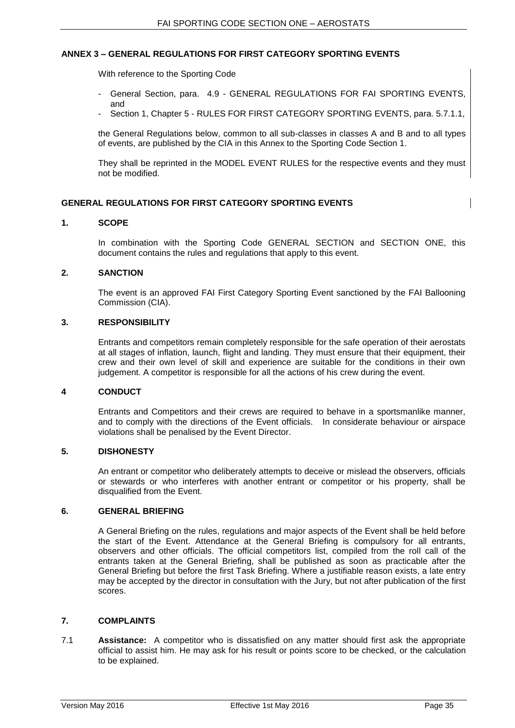#### **ANNEX 3 – GENERAL REGULATIONS FOR FIRST CATEGORY SPORTING EVENTS**

With reference to the Sporting Code

- General Section, para. 4.9 GENERAL REGULATIONS FOR FAI SPORTING EVENTS, and
- Section 1, Chapter 5 RULES FOR FIRST CATEGORY SPORTING EVENTS, para. 5.7.1.1,

the General Regulations below, common to all sub-classes in classes A and B and to all types of events, are published by the CIA in this Annex to the Sporting Code Section 1.

They shall be reprinted in the MODEL EVENT RULES for the respective events and they must not be modified.

#### **GENERAL REGULATIONS FOR FIRST CATEGORY SPORTING EVENTS**

#### **1. SCOPE**

In combination with the Sporting Code GENERAL SECTION and SECTION ONE, this document contains the rules and regulations that apply to this event.

#### **2. SANCTION**

The event is an approved FAI First Category Sporting Event sanctioned by the FAI Ballooning Commission (CIA).

#### **3. RESPONSIBILITY**

Entrants and competitors remain completely responsible for the safe operation of their aerostats at all stages of inflation, launch, flight and landing. They must ensure that their equipment, their crew and their own level of skill and experience are suitable for the conditions in their own judgement. A competitor is responsible for all the actions of his crew during the event.

#### **4 CONDUCT**

Entrants and Competitors and their crews are required to behave in a sportsmanlike manner, and to comply with the directions of the Event officials. In considerate behaviour or airspace violations shall be penalised by the Event Director.

#### **5. DISHONESTY**

An entrant or competitor who deliberately attempts to deceive or mislead the observers, officials or stewards or who interferes with another entrant or competitor or his property, shall be disqualified from the Event.

#### **6. GENERAL BRIEFING**

A General Briefing on the rules, regulations and major aspects of the Event shall be held before the start of the Event. Attendance at the General Briefing is compulsory for all entrants, observers and other officials. The official competitors list, compiled from the roll call of the entrants taken at the General Briefing, shall be published as soon as practicable after the General Briefing but before the first Task Briefing. Where a justifiable reason exists, a late entry may be accepted by the director in consultation with the Jury, but not after publication of the first scores.

## **7. COMPLAINTS**

7.1 **Assistance:** A competitor who is dissatisfied on any matter should first ask the appropriate official to assist him. He may ask for his result or points score to be checked, or the calculation to be explained.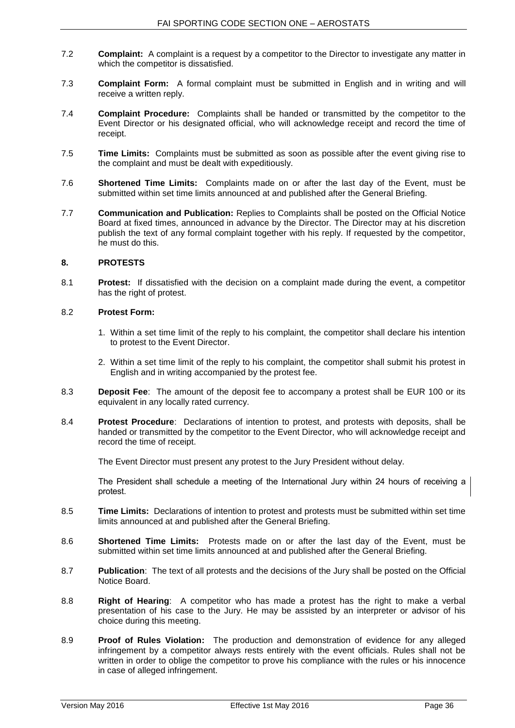- 7.2 **Complaint:** A complaint is a request by a competitor to the Director to investigate any matter in which the competitor is dissatisfied.
- 7.3 **Complaint Form:** A formal complaint must be submitted in English and in writing and will receive a written reply.
- 7.4 **Complaint Procedure:** Complaints shall be handed or transmitted by the competitor to the Event Director or his designated official, who will acknowledge receipt and record the time of receipt.
- 7.5 **Time Limits:** Complaints must be submitted as soon as possible after the event giving rise to the complaint and must be dealt with expeditiously.
- 7.6 **Shortened Time Limits:** Complaints made on or after the last day of the Event, must be submitted within set time limits announced at and published after the General Briefing.
- 7.7 **Communication and Publication:** Replies to Complaints shall be posted on the Official Notice Board at fixed times, announced in advance by the Director. The Director may at his discretion publish the text of any formal complaint together with his reply. If requested by the competitor, he must do this.

#### **8. PROTESTS**

8.1 **Protest:** If dissatisfied with the decision on a complaint made during the event, a competitor has the right of protest.

#### 8.2 **Protest Form:**

- 1. Within a set time limit of the reply to his complaint, the competitor shall declare his intention to protest to the Event Director.
- 2. Within a set time limit of the reply to his complaint, the competitor shall submit his protest in English and in writing accompanied by the protest fee.
- 8.3 **Deposit Fee**: The amount of the deposit fee to accompany a protest shall be EUR 100 or its equivalent in any locally rated currency.
- 8.4 **Protest Procedure**: Declarations of intention to protest, and protests with deposits, shall be handed or transmitted by the competitor to the Event Director, who will acknowledge receipt and record the time of receipt.

The Event Director must present any protest to the Jury President without delay.

The President shall schedule a meeting of the International Jury within 24 hours of receiving a protest.

- 8.5 **Time Limits:** Declarations of intention to protest and protests must be submitted within set time limits announced at and published after the General Briefing.
- 8.6 **Shortened Time Limits:** Protests made on or after the last day of the Event, must be submitted within set time limits announced at and published after the General Briefing.
- 8.7 **Publication**: The text of all protests and the decisions of the Jury shall be posted on the Official Notice Board.
- 8.8 **Right of Hearing**: A competitor who has made a protest has the right to make a verbal presentation of his case to the Jury. He may be assisted by an interpreter or advisor of his choice during this meeting.
- 8.9 **Proof of Rules Violation:** The production and demonstration of evidence for any alleged infringement by a competitor always rests entirely with the event officials. Rules shall not be written in order to oblige the competitor to prove his compliance with the rules or his innocence in case of alleged infringement.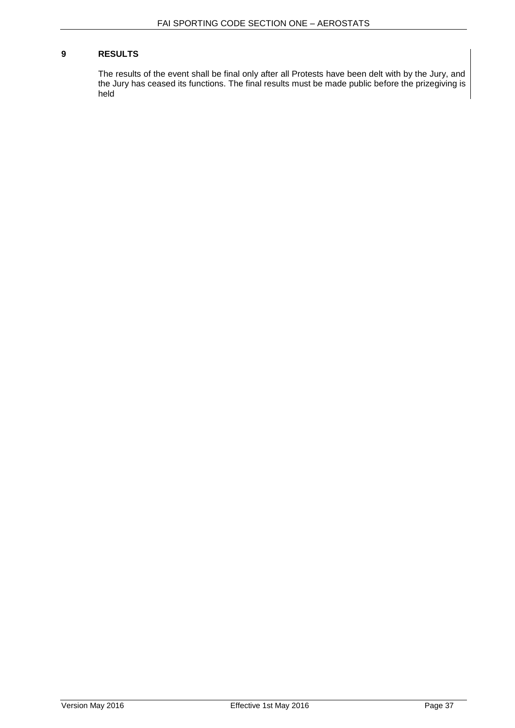#### **9 RESULTS**

The results of the event shall be final only after all Protests have been delt with by the Jury, and the Jury has ceased its functions. The final results must be made public before the prizegiving is held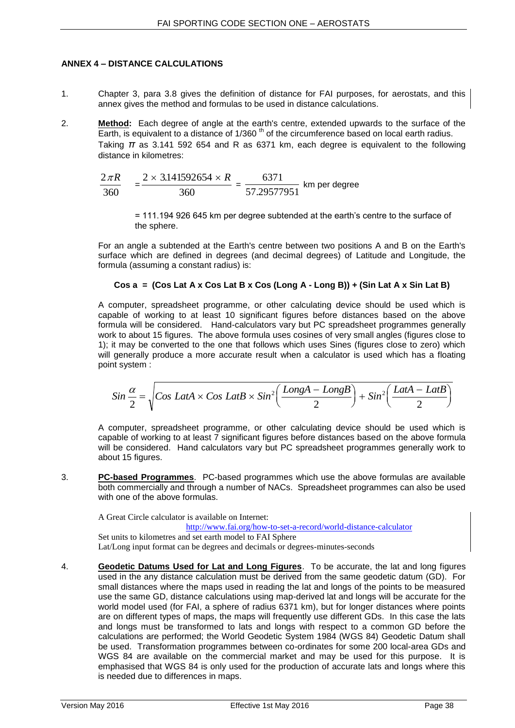## **ANNEX 4 – DISTANCE CALCULATIONS**

- 1. Chapter 3, para 3.8 gives the definition of distance for FAI purposes, for aerostats, and this annex gives the method and formulas to be used in distance calculations.
- 2. **Method:** Each degree of angle at the earth's centre, extended upwards to the surface of the Earth, is equivalent to a distance of  $1/360$ <sup>th</sup> of the circumference based on local earth radius. Taking *π* as 3.141 592 654 and R as 6371 km, each degree is equivalent to the following distance in kilometres:

$$
\frac{2\pi R}{360} = \frac{2 \times 3.141592654 \times R}{360} = \frac{6371}{57.29577951}
$$
 km per degree

= 111.194 926 645 km per degree subtended at the earth's centre to the surface of the sphere.

For an angle a subtended at the Earth's centre between two positions A and B on the Earth's surface which are defined in degrees (and decimal degrees) of Latitude and Longitude, the formula (assuming a constant radius) is:

## **Cos a = (Cos Lat A x Cos Lat B x Cos (Long A - Long B)) + (Sin Lat A x Sin Lat B)**

A computer, spreadsheet programme, or other calculating device should be used which is capable of working to at least 10 significant figures before distances based on the above formula will be considered. Hand-calculators vary but PC spreadsheet programmes generally work to about 15 figures. The above formula uses cosines of very small angles (figures close to 1); it may be converted to the one that follows which uses Sines (figures close to zero) which will generally produce a more accurate result when a calculator is used which has a floating point system :

$$
Sin\frac{\alpha}{2} = \sqrt{Cos\ Lat A \times Cos\ Lat B \times Sin^2 \left(\frac{Long A - LongB}{2}\right) + Sin^2 \left(\frac{Lat A - Lat B}{2}\right)}
$$

A computer, spreadsheet programme, or other calculating device should be used which is capable of working to at least 7 significant figures before distances based on the above formula will be considered. Hand calculators vary but PC spreadsheet programmes generally work to about 15 figures.

3. **PC-based Programmes**. PC-based programmes which use the above formulas are available both commercially and through a number of NACs. Spreadsheet programmes can also be used with one of the above formulas.

A Great Circle calculator is available on Internet:

<http://www.fai.org/how-to-set-a-record/world-distance-calculator> Set units to kilometres and set earth model to FAI Sphere

Lat/Long input format can be degrees and decimals or degrees-minutes-seconds

4. **Geodetic Datums Used for Lat and Long Figures**. To be accurate, the lat and long figures used in the any distance calculation must be derived from the same geodetic datum (GD). For small distances where the maps used in reading the lat and longs of the points to be measured use the same GD, distance calculations using map-derived lat and longs will be accurate for the world model used (for FAI, a sphere of radius 6371 km), but for longer distances where points are on different types of maps, the maps will frequently use different GDs. In this case the lats and longs must be transformed to lats and longs with respect to a common GD before the calculations are performed; the World Geodetic System 1984 (WGS 84) Geodetic Datum shall be used. Transformation programmes between co-ordinates for some 200 local-area GDs and WGS 84 are available on the commercial market and may be used for this purpose. It is emphasised that WGS 84 is only used for the production of accurate lats and longs where this is needed due to differences in maps.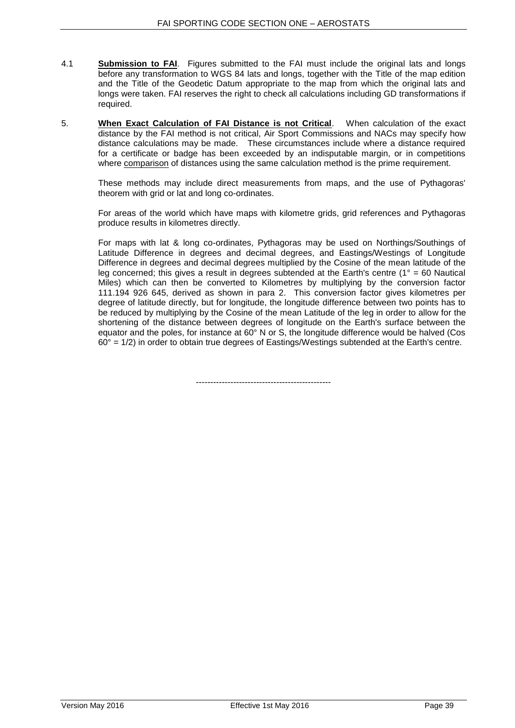- 4.1 **Submission to FAI**. Figures submitted to the FAI must include the original lats and longs before any transformation to WGS 84 lats and longs, together with the Title of the map edition and the Title of the Geodetic Datum appropriate to the map from which the original lats and longs were taken. FAI reserves the right to check all calculations including GD transformations if required.
- 5. **When Exact Calculation of FAI Distance is not Critical**. When calculation of the exact distance by the FAI method is not critical, Air Sport Commissions and NACs may specify how distance calculations may be made. These circumstances include where a distance required for a certificate or badge has been exceeded by an indisputable margin, or in competitions where comparison of distances using the same calculation method is the prime requirement.

These methods may include direct measurements from maps, and the use of Pythagoras' theorem with grid or lat and long co-ordinates.

For areas of the world which have maps with kilometre grids, grid references and Pythagoras produce results in kilometres directly.

For maps with lat & long co-ordinates, Pythagoras may be used on Northings/Southings of Latitude Difference in degrees and decimal degrees, and Eastings/Westings of Longitude Difference in degrees and decimal degrees multiplied by the Cosine of the mean latitude of the leg concerned; this gives a result in degrees subtended at the Earth's centre ( $1^\circ$  = 60 Nautical Miles) which can then be converted to Kilometres by multiplying by the conversion factor 111.194 926 645, derived as shown in para 2. This conversion factor gives kilometres per degree of latitude directly, but for longitude, the longitude difference between two points has to be reduced by multiplying by the Cosine of the mean Latitude of the leg in order to allow for the shortening of the distance between degrees of longitude on the Earth's surface between the equator and the poles, for instance at 60° N or S, the longitude difference would be halved (Cos  $60^\circ$  = 1/2) in order to obtain true degrees of Eastings/Westings subtended at the Earth's centre.

-----------------------------------------------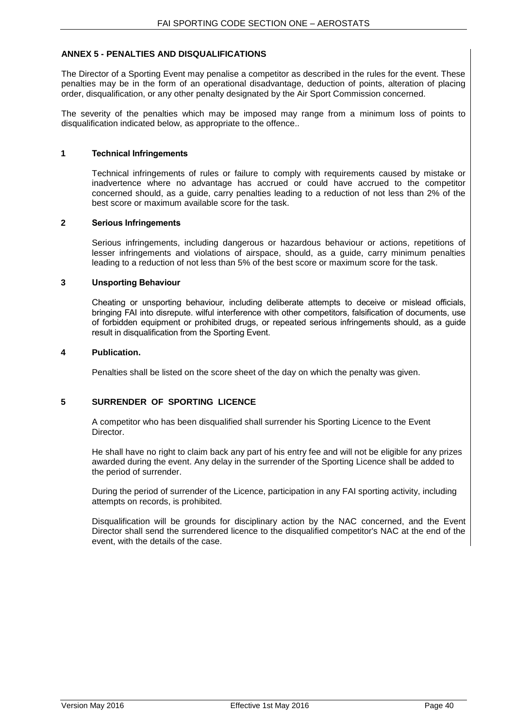#### **ANNEX 5 - PENALTIES AND DISQUALIFICATIONS**

The Director of a Sporting Event may penalise a competitor as described in the rules for the event. These penalties may be in the form of an operational disadvantage, deduction of points, alteration of placing order, disqualification, or any other penalty designated by the Air Sport Commission concerned.

The severity of the penalties which may be imposed may range from a minimum loss of points to disqualification indicated below, as appropriate to the offence..

#### **1 Technical Infringements**

Technical infringements of rules or failure to comply with requirements caused by mistake or inadvertence where no advantage has accrued or could have accrued to the competitor concerned should, as a guide, carry penalties leading to a reduction of not less than 2% of the best score or maximum available score for the task.

#### **2 Serious Infringements**

Serious infringements, including dangerous or hazardous behaviour or actions, repetitions of lesser infringements and violations of airspace, should, as a guide, carry minimum penalties leading to a reduction of not less than 5% of the best score or maximum score for the task.

#### **3 Unsporting Behaviour**

Cheating or unsporting behaviour, including deliberate attempts to deceive or mislead officials, bringing FAI into disrepute. wilful interference with other competitors, falsification of documents, use of forbidden equipment or prohibited drugs, or repeated serious infringements should, as a guide result in disqualification from the Sporting Event.

#### **4 Publication.**

Penalties shall be listed on the score sheet of the day on which the penalty was given.

## **5 SURRENDER OF SPORTING LICENCE**

A competitor who has been disqualified shall surrender his Sporting Licence to the Event Director.

He shall have no right to claim back any part of his entry fee and will not be eligible for any prizes awarded during the event. Any delay in the surrender of the Sporting Licence shall be added to the period of surrender.

During the period of surrender of the Licence, participation in any FAI sporting activity, including attempts on records, is prohibited.

Disqualification will be grounds for disciplinary action by the NAC concerned, and the Event Director shall send the surrendered licence to the disqualified competitor's NAC at the end of the event, with the details of the case.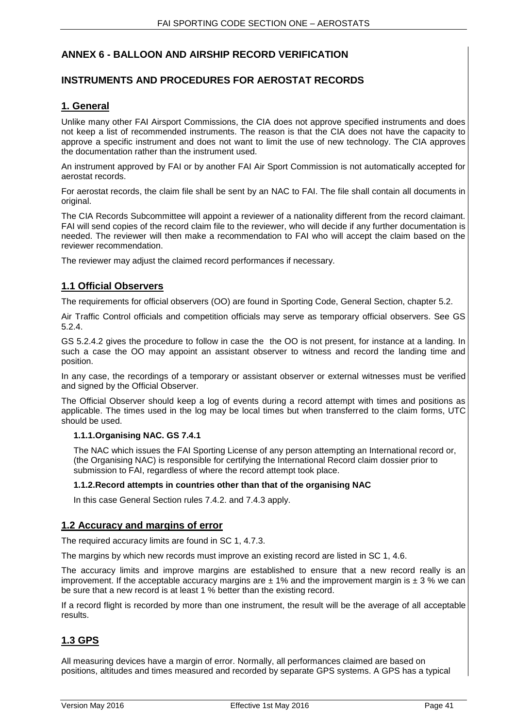## **ANNEX 6 - BALLOON AND AIRSHIP RECORD VERIFICATION**

## **INSTRUMENTS AND PROCEDURES FOR AEROSTAT RECORDS**

## **1. General**

Unlike many other FAI Airsport Commissions, the CIA does not approve specified instruments and does not keep a list of recommended instruments. The reason is that the CIA does not have the capacity to approve a specific instrument and does not want to limit the use of new technology. The CIA approves the documentation rather than the instrument used.

An instrument approved by FAI or by another FAI Air Sport Commission is not automatically accepted for aerostat records.

For aerostat records, the claim file shall be sent by an NAC to FAI. The file shall contain all documents in original.

The CIA Records Subcommittee will appoint a reviewer of a nationality different from the record claimant. FAI will send copies of the record claim file to the reviewer, who will decide if any further documentation is needed. The reviewer will then make a recommendation to FAI who will accept the claim based on the reviewer recommendation.

The reviewer may adjust the claimed record performances if necessary.

## **1.1 Official Observers**

The requirements for official observers (OO) are found in Sporting Code, General Section, chapter 5.2.

Air Traffic Control officials and competition officials may serve as temporary official observers. See GS 5.2.4.

GS 5.2.4.2 gives the procedure to follow in case the the OO is not present, for instance at a landing. In such a case the OO may appoint an assistant observer to witness and record the landing time and position.

In any case, the recordings of a temporary or assistant observer or external witnesses must be verified and signed by the Official Observer.

The Official Observer should keep a log of events during a record attempt with times and positions as applicable. The times used in the log may be local times but when transferred to the claim forms, UTC should be used.

### **1.1.1.Organising NAC. GS 7.4.1**

The NAC which issues the FAI Sporting License of any person attempting an International record or, (the Organising NAC) is responsible for certifying the International Record claim dossier prior to submission to FAI, regardless of where the record attempt took place.

#### **1.1.2.Record attempts in countries other than that of the organising NAC**

In this case General Section rules 7.4.2. and 7.4.3 apply.

## **1.2 Accuracy and margins of error**

The required accuracy limits are found in SC 1, 4.7.3.

The margins by which new records must improve an existing record are listed in SC 1, 4.6.

The accuracy limits and improve margins are established to ensure that a new record really is an improvement. If the acceptable accuracy margins are  $\pm$  1% and the improvement margin is  $\pm$  3 % we can be sure that a new record is at least 1 % better than the existing record.

If a record flight is recorded by more than one instrument, the result will be the average of all acceptable results.

## **1.3 GPS**

All measuring devices have a margin of error. Normally, all performances claimed are based on positions, altitudes and times measured and recorded by separate GPS systems. A GPS has a typical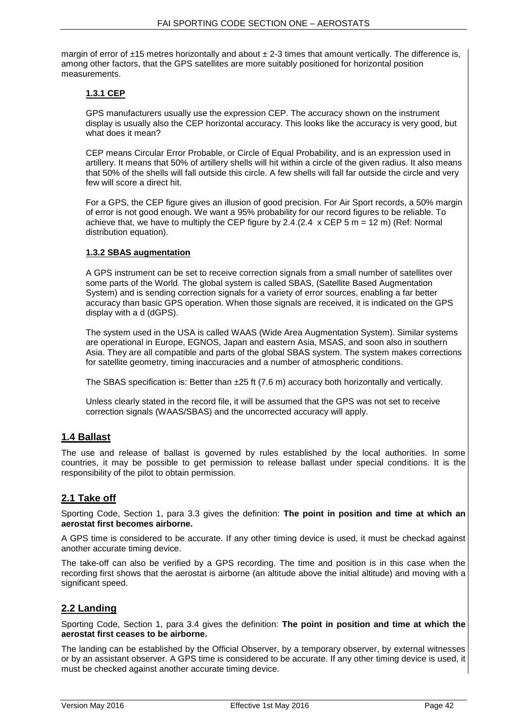margin of error of  $\pm 15$  metres horizontally and about  $\pm 2-3$  times that amount vertically. The difference is, among other factors, that the GPS satellites are more suitably positioned for horizontal position measurements.

#### **1.3.1 CEP**

GPS manufacturers usually use the expression CEP. The accuracy shown on the instrument display is usually also the CEP horizontal accuracy. This looks like the accuracy is very good, but what does it mean?

CEP means Circular Error Probable, or Circle of Equal Probability, and is an expression used in artillery. It means that 50% of artillery shells will hit within a circle of the given radius. It also means that 50% of the shells will fall outside this circle. A few shells will fall far outside the circle and very few will score a direct hit.

For a GPS, the CEP figure gives an illusion of good precision. For Air Sport records, a 50% margin of error is not good enough. We want a 95% probability for our record figures to be reliable. To achieve that, we have to multiply the CEP figure by 2.4.(2.4  $\times$  CEP 5 m = 12 m) (Ref: Normal distribution equation).

#### **1.3.2 SBAS augmentation**

A GPS instrument can be set to receive correction signals from a small number of satellites over some parts of the World. The global system is called SBAS, (Satellite Based Augmentation System) and is sending correction signals for a variety of error sources, enabling a far better accuracy than basic GPS operation. When those signals are received, it is indicated on the GPS display with a d (dGPS).

The system used in the USA is called WAAS (Wide Area Augmentation System). Similar systems are operational in Europe, EGNOS, Japan and eastern Asia, MSAS, and soon also in southern Asia. They are all compatible and parts of the global SBAS system. The system makes corrections for satellite geometry, timing inaccuracies and a number of atmospheric conditions.

The SBAS specification is: Better than  $\pm 25$  ft (7.6 m) accuracy both horizontally and vertically.

Unless clearly stated in the record file, it will be assumed that the GPS was not set to receive correction signals (WAAS/SBAS) and the uncorrected accuracy will apply.

## **1.4 Ballast**

The use and release of ballast is governed by rules established by the local authorities. In some countries, it may be possible to get permission to release ballast under special conditions. It is the responsibility of the pilot to obtain permission.

## **2.1 Take off**

Sporting Code, Section 1, para 3.3 gives the definition: **The point in position and time at which an aerostat first becomes airborne.**

A GPS time is considered to be accurate. If any other timing device is used, it must be checkad against another accurate timing device.

The take-off can also be verified by a GPS recording. The time and position is in this case when the recording first shows that the aerostat is airborne (an altitude above the initial altitude) and moving with a significant speed.

## **2.2 Landing**

Sporting Code, Section 1, para 3.4 gives the definition: **The point in position and time at which the aerostat first ceases to be airborne.**

The landing can be established by the Official Observer, by a temporary observer, by external witnesses or by an assistant observer. A GPS time is considered to be accurate. If any other timing device is used, it must be checked against another accurate timing device.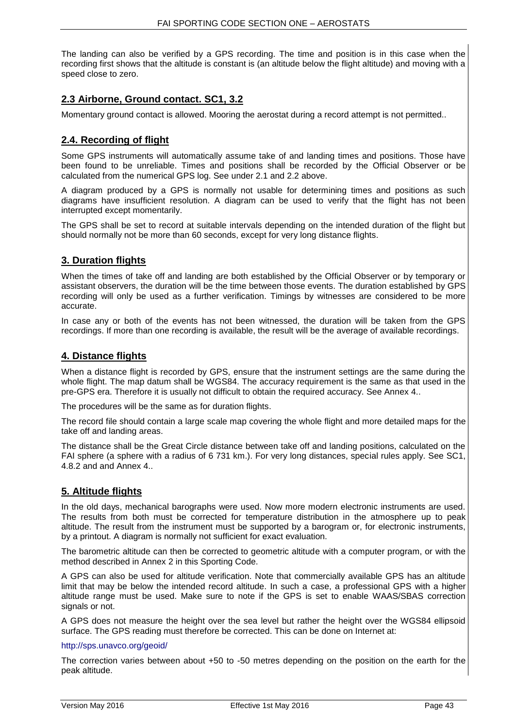The landing can also be verified by a GPS recording. The time and position is in this case when the recording first shows that the altitude is constant is (an altitude below the flight altitude) and moving with a speed close to zero.

## **2.3 Airborne, Ground contact. SC1, 3.2**

Momentary ground contact is allowed. Mooring the aerostat during a record attempt is not permitted..

## **2.4. Recording of flight**

Some GPS instruments will automatically assume take of and landing times and positions. Those have been found to be unreliable. Times and positions shall be recorded by the Official Observer or be calculated from the numerical GPS log. See under 2.1 and 2.2 above.

A diagram produced by a GPS is normally not usable for determining times and positions as such diagrams have insufficient resolution. A diagram can be used to verify that the flight has not been interrupted except momentarily.

The GPS shall be set to record at suitable intervals depending on the intended duration of the flight but should normally not be more than 60 seconds, except for very long distance flights.

## **3. Duration flights**

When the times of take off and landing are both established by the Official Observer or by temporary or assistant observers, the duration will be the time between those events. The duration established by GPS recording will only be used as a further verification. Timings by witnesses are considered to be more accurate.

In case any or both of the events has not been witnessed, the duration will be taken from the GPS recordings. If more than one recording is available, the result will be the average of available recordings.

## **4. Distance flights**

When a distance flight is recorded by GPS, ensure that the instrument settings are the same during the whole flight. The map datum shall be WGS84. The accuracy requirement is the same as that used in the pre-GPS era. Therefore it is usually not difficult to obtain the required accuracy. See Annex 4..

The procedures will be the same as for duration flights.

The record file should contain a large scale map covering the whole flight and more detailed maps for the take off and landing areas.

The distance shall be the Great Circle distance between take off and landing positions, calculated on the FAI sphere (a sphere with a radius of 6 731 km.). For very long distances, special rules apply. See SC1, 4.8.2 and and Annex 4..

## **5. Altitude flights**

In the old days, mechanical barographs were used. Now more modern electronic instruments are used. The results from both must be corrected for temperature distribution in the atmosphere up to peak altitude. The result from the instrument must be supported by a barogram or, for electronic instruments, by a printout. A diagram is normally not sufficient for exact evaluation.

The barometric altitude can then be corrected to geometric altitude with a computer program, or with the method described in Annex 2 in this Sporting Code.

A GPS can also be used for altitude verification. Note that commercially available GPS has an altitude limit that may be below the intended record altitude. In such a case, a professional GPS with a higher altitude range must be used. Make sure to note if the GPS is set to enable WAAS/SBAS correction signals or not.

A GPS does not measure the height over the sea level but rather the height over the WGS84 ellipsoid surface. The GPS reading must therefore be corrected. This can be done on Internet at:

#### <http://sps.unavco.org/geoid/>

The correction varies between about +50 to -50 metres depending on the position on the earth for the peak altitude.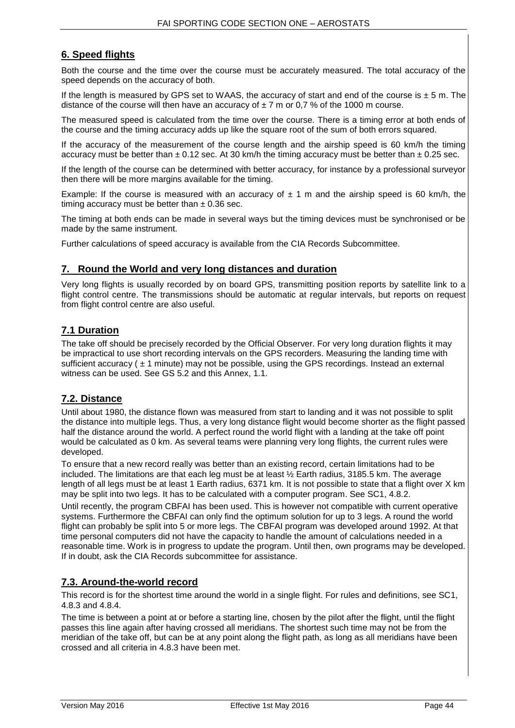## **6. Speed flights**

Both the course and the time over the course must be accurately measured. The total accuracy of the speed depends on the accuracy of both.

If the length is measured by GPS set to WAAS, the accuracy of start and end of the course is  $\pm$  5 m. The distance of the course will then have an accuracy of  $\pm 7$  m or 0,7 % of the 1000 m course.

The measured speed is calculated from the time over the course. There is a timing error at both ends of the course and the timing accuracy adds up like the square root of the sum of both errors squared.

If the accuracy of the measurement of the course length and the airship speed is 60 km/h the timing accuracy must be better than  $\pm$  0.12 sec. At 30 km/h the timing accuracy must be better than  $\pm$  0.25 sec.

If the length of the course can be determined with better accuracy, for instance by a professional surveyor then there will be more margins available for the timing.

Example: If the course is measured with an accuracy of  $\pm 1$  m and the airship speed is 60 km/h, the timing accuracy must be better than  $\pm$  0.36 sec.

The timing at both ends can be made in several ways but the timing devices must be synchronised or be made by the same instrument.

Further calculations of speed accuracy is available from the CIA Records Subcommittee.

## **7. Round the World and very long distances and duration**

Very long flights is usually recorded by on board GPS, transmitting position reports by satellite link to a flight control centre. The transmissions should be automatic at regular intervals, but reports on request from flight control centre are also useful.

## **7.1 Duration**

The take off should be precisely recorded by the Official Observer. For very long duration flights it may be impractical to use short recording intervals on the GPS recorders. Measuring the landing time with sufficient accuracy ( $\pm$  1 minute) may not be possible, using the GPS recordings. Instead an external witness can be used. See GS 5.2 and this Annex, 1.1.

## **7.2. Distance**

Until about 1980, the distance flown was measured from start to landing and it was not possible to split the distance into multiple legs. Thus, a very long distance flight would become shorter as the flight passed half the distance around the world. A perfect round the world flight with a landing at the take off point would be calculated as 0 km. As several teams were planning very long flights, the current rules were developed.

To ensure that a new record really was better than an existing record, certain limitations had to be included. The limitations are that each leg must be at least  $\frac{1}{2}$  Earth radius, 3185.5 km. The average length of all legs must be at least 1 Earth radius, 6371 km. It is not possible to state that a flight over X km may be split into two legs. It has to be calculated with a computer program. See SC1, 4.8.2.

Until recently, the program CBFAI has been used. This is however not compatible with current operative systems. Furthermore the CBFAI can only find the optimum solution for up to 3 legs. A round the world flight can probably be split into 5 or more legs. The CBFAI program was developed around 1992. At that time personal computers did not have the capacity to handle the amount of calculations needed in a reasonable time. Work is in progress to update the program. Until then, own programs may be developed. If in doubt, ask the CIA Records subcommittee for assistance.

## **7.3. Around-the-world record**

This record is for the shortest time around the world in a single flight. For rules and definitions, see SC1, 4.8.3 and 4.8.4.

The time is between a point at or before a starting line, chosen by the pilot after the flight, until the flight passes this line again after having crossed all meridians. The shortest such time may not be from the meridian of the take off, but can be at any point along the flight path, as long as all meridians have been crossed and all criteria in 4.8.3 have been met.